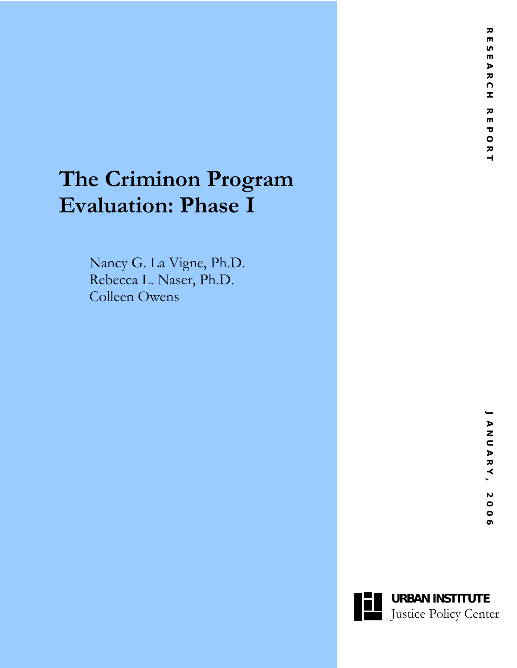# **The Criminon Program Evaluation: Phase I**

Nancy G. La Vigne, Ph.D. Rebecca L. Naser, Ph.D. Colleen Owens

 $\leftarrow$ 

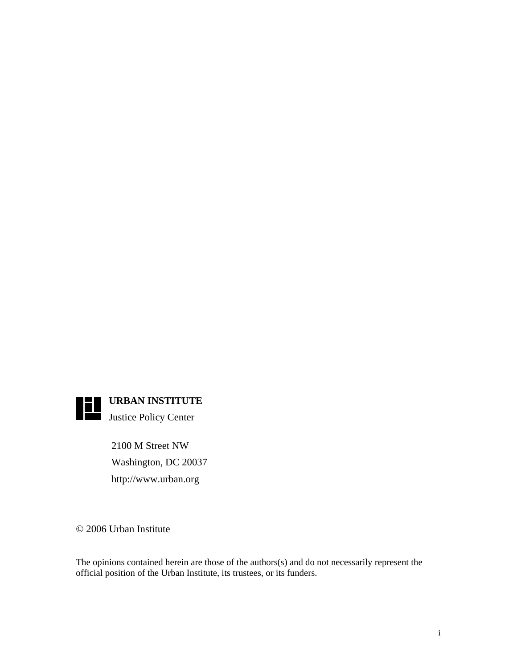

2100 M Street NW Washington, DC 20037

http://www.urban.org

© 2006 Urban Institute

The opinions contained herein are those of the authors(s) and do not necessarily represent the official position of the Urban Institute, its trustees, or its funders.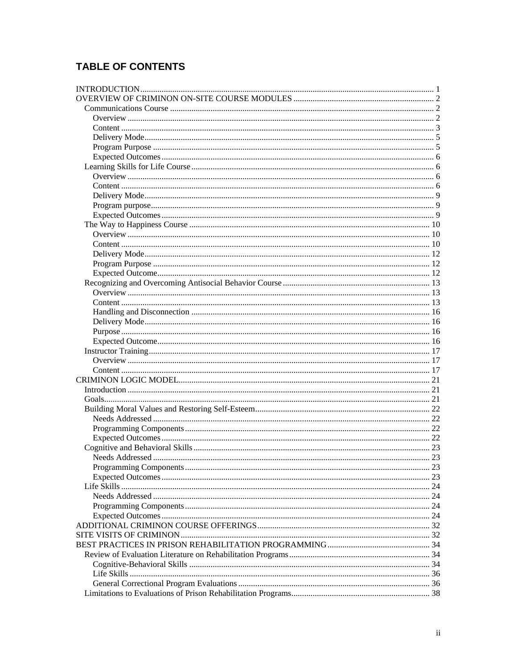# **TABLE OF CONTENTS**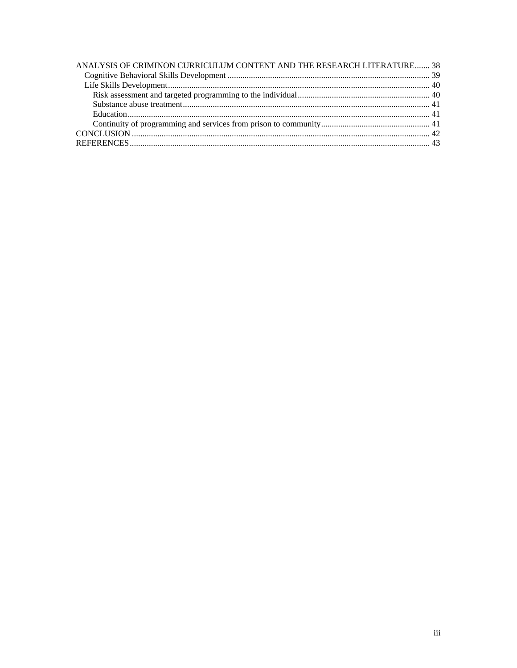| ANALYSIS OF CRIMINON CURRICULUM CONTENT AND THE RESEARCH LITERATURE 38 |  |
|------------------------------------------------------------------------|--|
|                                                                        |  |
|                                                                        |  |
|                                                                        |  |
|                                                                        |  |
|                                                                        |  |
|                                                                        |  |
|                                                                        |  |
|                                                                        |  |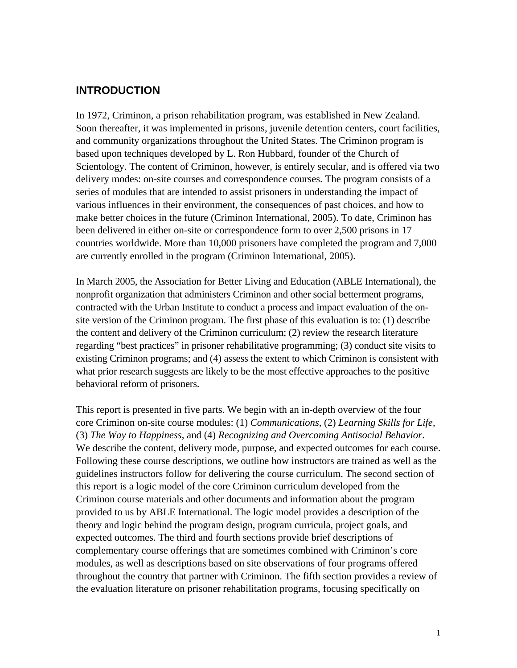# <span id="page-4-0"></span>**INTRODUCTION**

In 1972, Criminon, a prison rehabilitation program, was established in New Zealand. Soon thereafter, it was implemented in prisons, juvenile detention centers, court facilities, and community organizations throughout the United States. The Criminon program is based upon techniques developed by L. Ron Hubbard, founder of the Church of Scientology. The content of Criminon, however, is entirely secular, and is offered via two delivery modes: on-site courses and correspondence courses. The program consists of a series of modules that are intended to assist prisoners in understanding the impact of various influences in their environment, the consequences of past choices, and how to make better choices in the future (Criminon International, 2005). To date, Criminon has been delivered in either on-site or correspondence form to over 2,500 prisons in 17 countries worldwide. More than 10,000 prisoners have completed the program and 7,000 are currently enrolled in the program (Criminon International, 2005).

In March 2005, the Association for Better Living and Education (ABLE International), the nonprofit organization that administers Criminon and other social betterment programs, contracted with the Urban Institute to conduct a process and impact evaluation of the onsite version of the Criminon program. The first phase of this evaluation is to: (1) describe the content and delivery of the Criminon curriculum; (2) review the research literature regarding "best practices" in prisoner rehabilitative programming; (3) conduct site visits to existing Criminon programs; and (4) assess the extent to which Criminon is consistent with what prior research suggests are likely to be the most effective approaches to the positive behavioral reform of prisoners.

This report is presented in five parts. We begin with an in-depth overview of the four core Criminon on-site course modules: (1) *Communications*, (2) *Learning Skills for Life*, (3) *The Way to Happiness*, and (4) *Recognizing and Overcoming Antisocial Behavior*. We describe the content, delivery mode, purpose, and expected outcomes for each course. Following these course descriptions, we outline how instructors are trained as well as the guidelines instructors follow for delivering the course curriculum. The second section of this report is a logic model of the core Criminon curriculum developed from the Criminon course materials and other documents and information about the program provided to us by ABLE International. The logic model provides a description of the theory and logic behind the program design, program curricula, project goals, and expected outcomes. The third and fourth sections provide brief descriptions of complementary course offerings that are sometimes combined with Criminon's core modules, as well as descriptions based on site observations of four programs offered throughout the country that partner with Criminon. The fifth section provides a review of the evaluation literature on prisoner rehabilitation programs, focusing specifically on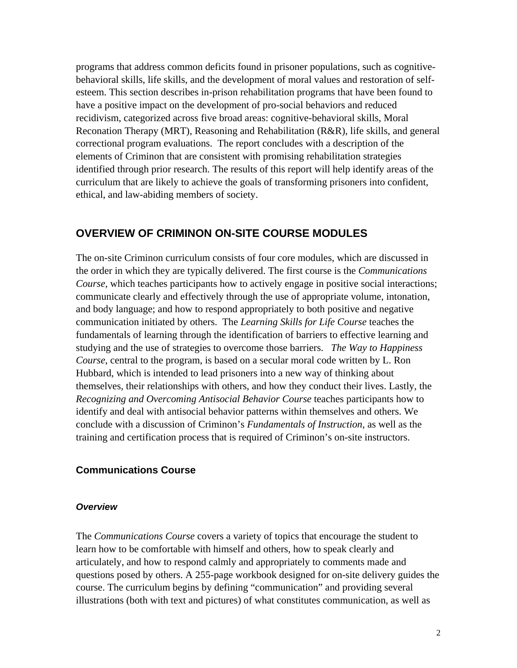<span id="page-5-0"></span>programs that address common deficits found in prisoner populations, such as cognitivebehavioral skills, life skills, and the development of moral values and restoration of selfesteem. This section describes in-prison rehabilitation programs that have been found to have a positive impact on the development of pro-social behaviors and reduced recidivism, categorized across five broad areas: cognitive-behavioral skills, Moral Reconation Therapy (MRT), Reasoning and Rehabilitation (R&R), life skills, and general correctional program evaluations. The report concludes with a description of the elements of Criminon that are consistent with promising rehabilitation strategies identified through prior research. The results of this report will help identify areas of the curriculum that are likely to achieve the goals of transforming prisoners into confident, ethical, and law-abiding members of society.

# **OVERVIEW OF CRIMINON ON-SITE COURSE MODULES**

The on-site Criminon curriculum consists of four core modules, which are discussed in the order in which they are typically delivered. The first course is the *Communications Course*, which teaches participants how to actively engage in positive social interactions; communicate clearly and effectively through the use of appropriate volume, intonation, and body language; and how to respond appropriately to both positive and negative communication initiated by others. The *Learning Skills for Life Course* teaches the fundamentals of learning through the identification of barriers to effective learning and studying and the use of strategies to overcome those barriers. *The Way to Happiness Course*, central to the program, is based on a secular moral code written by L. Ron Hubbard, which is intended to lead prisoners into a new way of thinking about themselves, their relationships with others, and how they conduct their lives. Lastly, the *Recognizing and Overcoming Antisocial Behavior Course* teaches participants how to identify and deal with antisocial behavior patterns within themselves and others. We conclude with a discussion of Criminon's *Fundamentals of Instruction*, as well as the training and certification process that is required of Criminon's on-site instructors.

### **Communications Course**

#### *Overview*

The *Communications Course* covers a variety of topics that encourage the student to learn how to be comfortable with himself and others, how to speak clearly and articulately, and how to respond calmly and appropriately to comments made and questions posed by others. A 255-page workbook designed for on-site delivery guides the course. The curriculum begins by defining "communication" and providing several illustrations (both with text and pictures) of what constitutes communication, as well as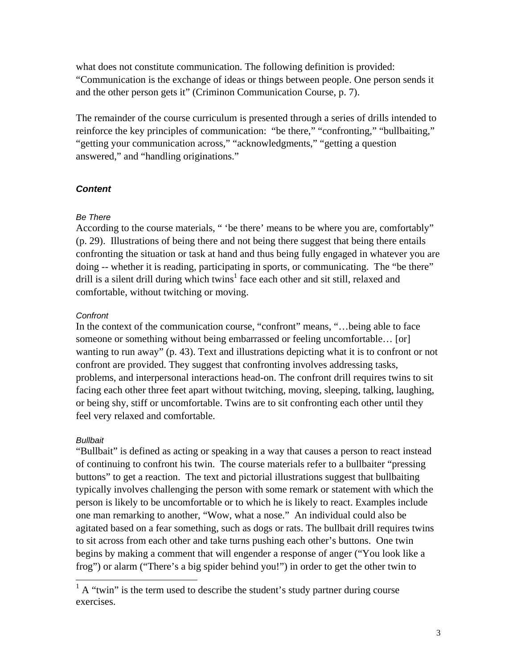<span id="page-6-0"></span>what does not constitute communication. The following definition is provided: "Communication is the exchange of ideas or things between people. One person sends it and the other person gets it" (Criminon Communication Course, p. 7).

The remainder of the course curriculum is presented through a series of drills intended to reinforce the key principles of communication: "be there," "confronting," "bullbaiting," "getting your communication across," "acknowledgments," "getting a question answered," and "handling originations."

#### *Content*

#### *Be There*

According to the course materials, " 'be there' means to be where you are, comfortably" (p. 29). Illustrations of being there and not being there suggest that being there entails confronting the situation or task at hand and thus being fully engaged in whatever you are doing -- whether it is reading, participating in sports, or communicating. The "be there" drill is a silent drill during which twins<sup>[1](#page-6-1)</sup> face each other and sit still, relaxed and comfortable, without twitching or moving.

#### *Confront*

In the context of the communication course, "confront" means, "…being able to face someone or something without being embarrassed or feeling uncomfortable... [or] wanting to run away" (p. 43). Text and illustrations depicting what it is to confront or not confront are provided. They suggest that confronting involves addressing tasks, problems, and interpersonal interactions head-on. The confront drill requires twins to sit facing each other three feet apart without twitching, moving, sleeping, talking, laughing, or being shy, stiff or uncomfortable. Twins are to sit confronting each other until they feel very relaxed and comfortable.

#### *Bullbait*

"Bullbait" is defined as acting or speaking in a way that causes a person to react instead of continuing to confront his twin. The course materials refer to a bullbaiter "pressing buttons" to get a reaction. The text and pictorial illustrations suggest that bullbaiting typically involves challenging the person with some remark or statement with which the person is likely to be uncomfortable or to which he is likely to react. Examples include one man remarking to another, "Wow, what a nose." An individual could also be agitated based on a fear something, such as dogs or rats. The bullbait drill requires twins to sit across from each other and take turns pushing each other's buttons. One twin begins by making a comment that will engender a response of anger ("You look like a frog") or alarm ("There's a big spider behind you!") in order to get the other twin to

<span id="page-6-1"></span><sup>&</sup>lt;sup>1</sup> A "twin" is the term used to describe the student's study partner during course exercises.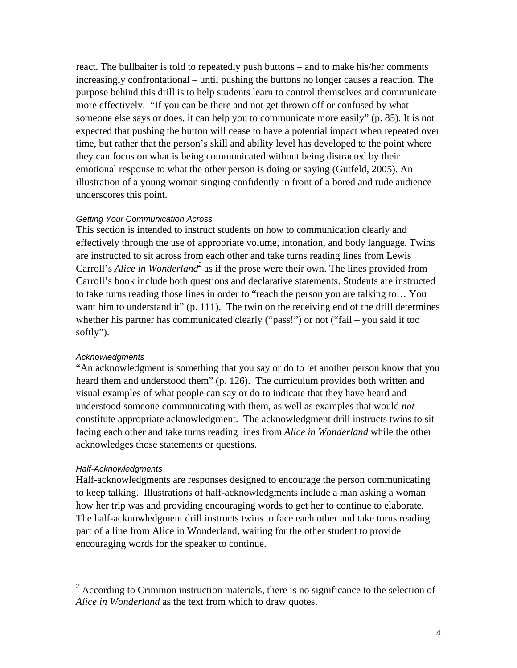react. The bullbaiter is told to repeatedly push buttons – and to make his/her comments increasingly confrontational – until pushing the buttons no longer causes a reaction. The purpose behind this drill is to help students learn to control themselves and communicate more effectively. "If you can be there and not get thrown off or confused by what someone else says or does, it can help you to communicate more easily" (p. 85). It is not expected that pushing the button will cease to have a potential impact when repeated over time, but rather that the person's skill and ability level has developed to the point where they can focus on what is being communicated without being distracted by their emotional response to what the other person is doing or saying (Gutfeld, 2005). An illustration of a young woman singing confidently in front of a bored and rude audience underscores this point.

#### *Getting Your Communication Across*

This section is intended to instruct students on how to communication clearly and effectively through the use of appropriate volume, intonation, and body language. Twins are instructed to sit across from each other and take turns reading lines from Lewis Carroll's *Alice in Wonderland*<sup>2</sup> as if the prose were their own. The lines provided from Carroll's book include both questions and declarative statements. Students are instructed to take turns reading those lines in order to "reach the person you are talking to… You want him to understand it" (p. 111). The twin on the receiving end of the drill determines whether his partner has communicated clearly ("pass!") or not ("fail – you said it too softly").

#### *Acknowledgments*

"An acknowledgment is something that you say or do to let another person know that you heard them and understood them" (p. 126). The curriculum provides both written and visual examples of what people can say or do to indicate that they have heard and understood someone communicating with them, as well as examples that would *not* constitute appropriate acknowledgment. The acknowledgment drill instructs twins to sit facing each other and take turns reading lines from *Alice in Wonderland* while the other acknowledges those statements or questions.

#### *Half-Acknowledgments*

Half-acknowledgments are responses designed to encourage the person communicating to keep talking. Illustrations of half-acknowledgments include a man asking a woman how her trip was and providing encouraging words to get her to continue to elaborate. The half-acknowledgment drill instructs twins to face each other and take turns reading part of a line from Alice in Wonderland, waiting for the other student to provide encouraging words for the speaker to continue.

<span id="page-7-0"></span><sup>&</sup>lt;sup>2</sup> According to Criminon instruction materials, there is no significance to the selection of *Alice in Wonderland* as the text from which to draw quotes.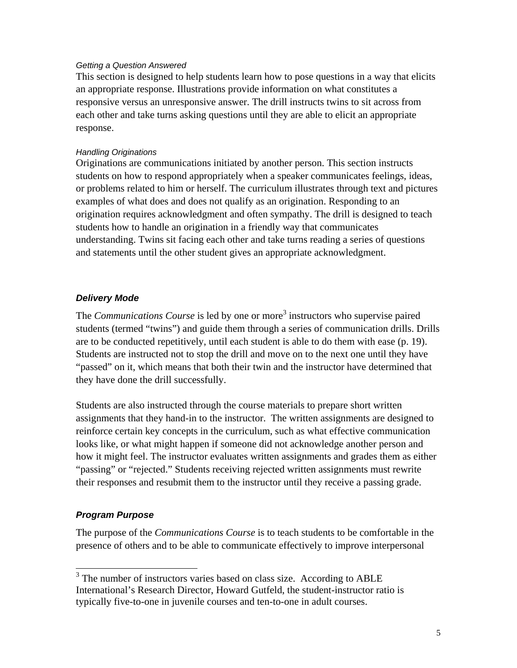#### <span id="page-8-0"></span>*Getting a Question Answered*

This section is designed to help students learn how to pose questions in a way that elicits an appropriate response. Illustrations provide information on what constitutes a responsive versus an unresponsive answer. The drill instructs twins to sit across from each other and take turns asking questions until they are able to elicit an appropriate response.

#### *Handling Originations*

Originations are communications initiated by another person. This section instructs students on how to respond appropriately when a speaker communicates feelings, ideas, or problems related to him or herself. The curriculum illustrates through text and pictures examples of what does and does not qualify as an origination. Responding to an origination requires acknowledgment and often sympathy. The drill is designed to teach students how to handle an origination in a friendly way that communicates understanding. Twins sit facing each other and take turns reading a series of questions and statements until the other student gives an appropriate acknowledgment.

# *Delivery Mode*

The *Communications Course* is led by one or more<sup>3</sup> instructors who supervise paired students (termed "twins") and guide them through a series of communication drills. Drills are to be conducted repetitively, until each student is able to do them with ease (p. 19). Students are instructed not to stop the drill and move on to the next one until they have "passed" on it, which means that both their twin and the instructor have determined that they have done the drill successfully.

Students are also instructed through the course materials to prepare short written assignments that they hand-in to the instructor. The written assignments are designed to reinforce certain key concepts in the curriculum, such as what effective communication looks like, or what might happen if someone did not acknowledge another person and how it might feel. The instructor evaluates written assignments and grades them as either "passing" or "rejected." Students receiving rejected written assignments must rewrite their responses and resubmit them to the instructor until they receive a passing grade.

# *Program Purpose*

The purpose of the *Communications Course* is to teach students to be comfortable in the presence of others and to be able to communicate effectively to improve interpersonal

<span id="page-8-1"></span><sup>&</sup>lt;sup>3</sup> The number of instructors varies based on class size. According to ABLE International's Research Director, Howard Gutfeld, the student-instructor ratio is typically five-to-one in juvenile courses and ten-to-one in adult courses.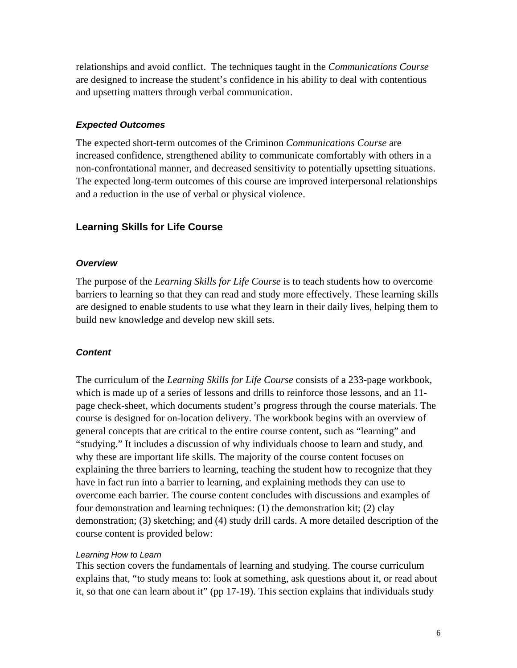<span id="page-9-0"></span>relationships and avoid conflict. The techniques taught in the *Communications Course* are designed to increase the student's confidence in his ability to deal with contentious and upsetting matters through verbal communication.

#### *Expected Outcomes*

The expected short-term outcomes of the Criminon *Communications Course* are increased confidence, strengthened ability to communicate comfortably with others in a non-confrontational manner, and decreased sensitivity to potentially upsetting situations. The expected long-term outcomes of this course are improved interpersonal relationships and a reduction in the use of verbal or physical violence.

# **Learning Skills for Life Course**

#### *Overview*

The purpose of the *Learning Skills for Life Course* is to teach students how to overcome barriers to learning so that they can read and study more effectively. These learning skills are designed to enable students to use what they learn in their daily lives, helping them to build new knowledge and develop new skill sets.

#### *Content*

The curriculum of the *Learning Skills for Life Course* consists of a 233-page workbook, which is made up of a series of lessons and drills to reinforce those lessons, and an 11 page check-sheet, which documents student's progress through the course materials. The course is designed for on-location delivery. The workbook begins with an overview of general concepts that are critical to the entire course content, such as "learning" and "studying." It includes a discussion of why individuals choose to learn and study, and why these are important life skills. The majority of the course content focuses on explaining the three barriers to learning, teaching the student how to recognize that they have in fact run into a barrier to learning, and explaining methods they can use to overcome each barrier. The course content concludes with discussions and examples of four demonstration and learning techniques: (1) the demonstration kit; (2) clay demonstration; (3) sketching; and (4) study drill cards. A more detailed description of the course content is provided below:

#### *Learning How to Learn*

This section covers the fundamentals of learning and studying. The course curriculum explains that, "to study means to: look at something, ask questions about it, or read about it, so that one can learn about it" (pp 17-19). This section explains that individuals study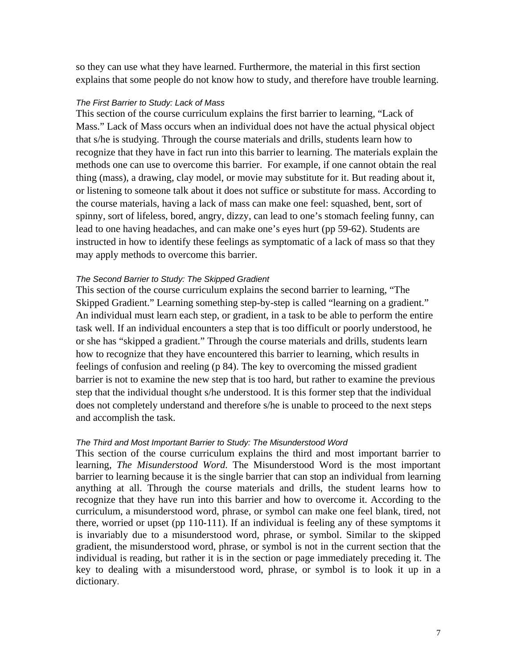so they can use what they have learned. Furthermore, the material in this first section explains that some people do not know how to study, and therefore have trouble learning.

#### *The First Barrier to Study: Lack of Mass*

This section of the course curriculum explains the first barrier to learning, "Lack of Mass." Lack of Mass occurs when an individual does not have the actual physical object that s/he is studying. Through the course materials and drills, students learn how to recognize that they have in fact run into this barrier to learning. The materials explain the methods one can use to overcome this barrier. For example, if one cannot obtain the real thing (mass), a drawing, clay model, or movie may substitute for it. But reading about it, or listening to someone talk about it does not suffice or substitute for mass. According to the course materials, having a lack of mass can make one feel: squashed, bent, sort of spinny, sort of lifeless, bored, angry, dizzy, can lead to one's stomach feeling funny, can lead to one having headaches, and can make one's eyes hurt (pp 59-62). Students are instructed in how to identify these feelings as symptomatic of a lack of mass so that they may apply methods to overcome this barrier.

#### *The Second Barrier to Study: The Skipped Gradient*

This section of the course curriculum explains the second barrier to learning, "The Skipped Gradient." Learning something step-by-step is called "learning on a gradient." An individual must learn each step, or gradient, in a task to be able to perform the entire task well. If an individual encounters a step that is too difficult or poorly understood, he or she has "skipped a gradient." Through the course materials and drills, students learn how to recognize that they have encountered this barrier to learning, which results in feelings of confusion and reeling (p 84). The key to overcoming the missed gradient barrier is not to examine the new step that is too hard, but rather to examine the previous step that the individual thought s/he understood. It is this former step that the individual does not completely understand and therefore s/he is unable to proceed to the next steps and accomplish the task.

#### *The Third and Most Important Barrier to Study: The Misunderstood Word*

This section of the course curriculum explains the third and most important barrier to learning, *The Misunderstood Word*. The Misunderstood Word is the most important barrier to learning because it is the single barrier that can stop an individual from learning anything at all. Through the course materials and drills, the student learns how to recognize that they have run into this barrier and how to overcome it. According to the curriculum, a misunderstood word, phrase, or symbol can make one feel blank, tired, not there, worried or upset (pp 110-111). If an individual is feeling any of these symptoms it is invariably due to a misunderstood word, phrase, or symbol. Similar to the skipped gradient, the misunderstood word, phrase, or symbol is not in the current section that the individual is reading, but rather it is in the section or page immediately preceding it. The key to dealing with a misunderstood word, phrase, or symbol is to look it up in a dictionary.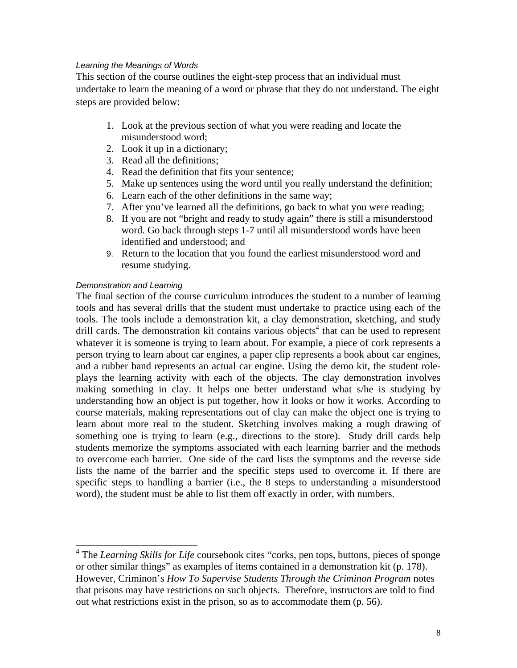#### *Learning the Meanings of Words*

This section of the course outlines the eight-step process that an individual must undertake to learn the meaning of a word or phrase that they do not understand. The eight steps are provided below:

- 1. Look at the previous section of what you were reading and locate the misunderstood word;
- 2. Look it up in a dictionary;
- 3. Read all the definitions;
- 4. Read the definition that fits your sentence;
- 5. Make up sentences using the word until you really understand the definition;
- 6. Learn each of the other definitions in the same way;
- 7. After you've learned all the definitions, go back to what you were reading;
- 8. If you are not "bright and ready to study again" there is still a misunderstood word. Go back through steps 1-7 until all misunderstood words have been identified and understood; and
- 9. Return to the location that you found the earliest misunderstood word and resume studying.

#### *Demonstration and Learning*

The final section of the course curriculum introduces the student to a number of learning tools and has several drills that the student must undertake to practice using each of the tools. The tools include a demonstration kit, a clay demonstration, sketching, and study drill cards. The demonstration kit contains various objects<sup>4</sup> that can be used to represent whatever it is someone is trying to learn about. For example, a piece of cork represents a person trying to learn about car engines, a paper clip represents a book about car engines, and a rubber band represents an actual car engine. Using the demo kit, the student roleplays the learning activity with each of the objects. The clay demonstration involves making something in clay. It helps one better understand what s/he is studying by understanding how an object is put together, how it looks or how it works. According to course materials, making representations out of clay can make the object one is trying to learn about more real to the student. Sketching involves making a rough drawing of something one is trying to learn (e.g., directions to the store). Study drill cards help students memorize the symptoms associated with each learning barrier and the methods to overcome each barrier. One side of the card lists the symptoms and the reverse side lists the name of the barrier and the specific steps used to overcome it. If there are specific steps to handling a barrier (i.e., the 8 steps to understanding a misunderstood word), the student must be able to list them off exactly in order, with numbers.

<span id="page-11-0"></span> <sup>4</sup> The *Learning Skills for Life* coursebook cites "corks, pen tops, buttons, pieces of sponge or other similar things" as examples of items contained in a demonstration kit (p. 178). However, Criminon's *How To Supervise Students Through the Criminon Program* notes that prisons may have restrictions on such objects. Therefore, instructors are told to find out what restrictions exist in the prison, so as to accommodate them (p. 56).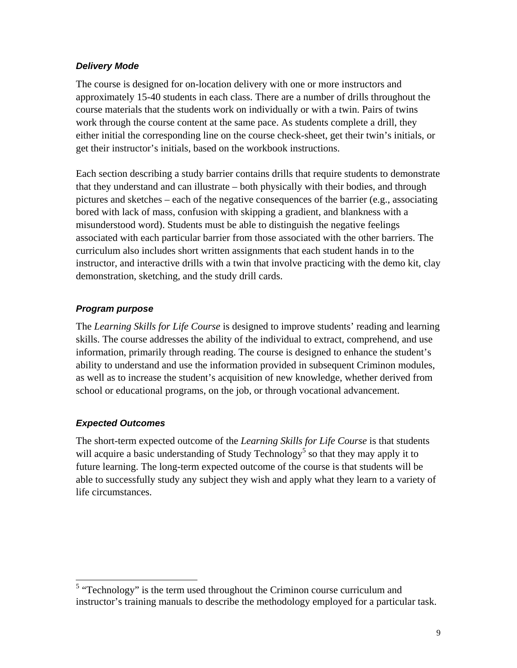#### <span id="page-12-0"></span>*Delivery Mode*

The course is designed for on-location delivery with one or more instructors and approximately 15-40 students in each class. There are a number of drills throughout the course materials that the students work on individually or with a twin. Pairs of twins work through the course content at the same pace. As students complete a drill, they either initial the corresponding line on the course check-sheet, get their twin's initials, or get their instructor's initials, based on the workbook instructions.

Each section describing a study barrier contains drills that require students to demonstrate that they understand and can illustrate – both physically with their bodies, and through pictures and sketches – each of the negative consequences of the barrier (e.g., associating bored with lack of mass, confusion with skipping a gradient, and blankness with a misunderstood word). Students must be able to distinguish the negative feelings associated with each particular barrier from those associated with the other barriers. The curriculum also includes short written assignments that each student hands in to the instructor, and interactive drills with a twin that involve practicing with the demo kit, clay demonstration, sketching, and the study drill cards.

# *Program purpose*

The *Learning Skills for Life Course* is designed to improve students' reading and learning skills. The course addresses the ability of the individual to extract, comprehend, and use information, primarily through reading. The course is designed to enhance the student's ability to understand and use the information provided in subsequent Criminon modules, as well as to increase the student's acquisition of new knowledge, whether derived from school or educational programs, on the job, or through vocational advancement.

# *Expected Outcomes*

The short-term expected outcome of the *Learning Skills for Life Course* is that students will acquire a basic understanding of Study Technology<sup>[5](#page-12-1)</sup> so that they may apply it to future learning. The long-term expected outcome of the course is that students will be able to successfully study any subject they wish and apply what they learn to a variety of life circumstances.

<span id="page-12-1"></span><sup>&</sup>lt;sup>5</sup> "Technology" is the term used throughout the Criminon course curriculum and instructor's training manuals to describe the methodology employed for a particular task.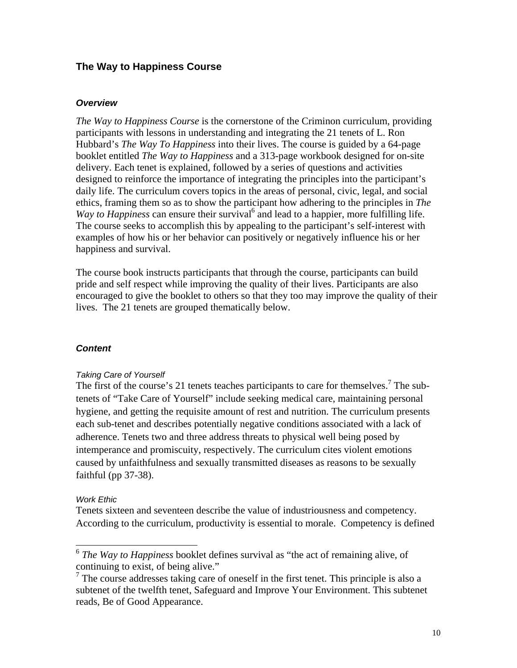# <span id="page-13-0"></span>**The Way to Happiness Course**

#### *Overview*

*The Way to Happiness Course* is the cornerstone of the Criminon curriculum, providing participants with lessons in understanding and integrating the 21 tenets of L. Ron Hubbard's *The Way To Happiness* into their lives. The course is guided by a 64-page booklet entitled *The Way to Happiness* and a 313-page workbook designed for on-site delivery. Each tenet is explained, followed by a series of questions and activities designed to reinforce the importance of integrating the principles into the participant's daily life. The curriculum covers topics in the areas of personal, civic, legal, and social ethics, framing them so as to show the participant how adhering to the principles in *The* Way to Happiness can ensure their survival<sup>[6](#page-13-1)</sup> and lead to a happier, more fulfilling life. The course seeks to accomplish this by appealing to the participant's self-interest with examples of how his or her behavior can positively or negatively influence his or her happiness and survival.

The course book instructs participants that through the course, participants can build pride and self respect while improving the quality of their lives. Participants are also encouraged to give the booklet to others so that they too may improve the quality of their lives. The 21 tenets are grouped thematically below.

#### *Content*

#### *Taking Care of Yourself*

The first of the course's 21 tenets teaches participants to care for themselves.<sup>[7](#page-13-2)</sup> The subtenets of "Take Care of Yourself" include seeking medical care, maintaining personal hygiene, and getting the requisite amount of rest and nutrition. The curriculum presents each sub-tenet and describes potentially negative conditions associated with a lack of adherence. Tenets two and three address threats to physical well being posed by intemperance and promiscuity, respectively. The curriculum cites violent emotions caused by unfaithfulness and sexually transmitted diseases as reasons to be sexually faithful (pp 37-38).

#### *Work Ethic*

Tenets sixteen and seventeen describe the value of industriousness and competency. According to the curriculum, productivity is essential to morale. Competency is defined

<span id="page-13-1"></span> <sup>6</sup> *The Way to Happiness* booklet defines survival as "the act of remaining alive, of continuing to exist, of being alive."

<span id="page-13-2"></span> $7$  The course addresses taking care of oneself in the first tenet. This principle is also a subtenet of the twelfth tenet, Safeguard and Improve Your Environment. This subtenet reads, Be of Good Appearance.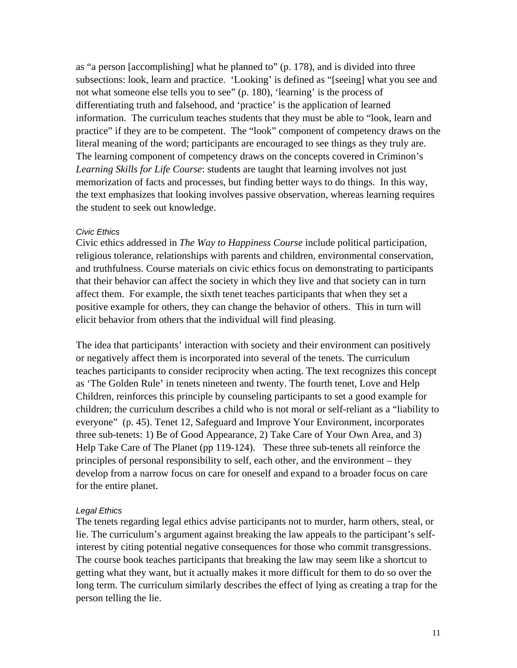as "a person [accomplishing] what he planned to" (p. 178), and is divided into three subsections: look, learn and practice. 'Looking' is defined as "[seeing] what you see and not what someone else tells you to see" (p. 180), 'learning' is the process of differentiating truth and falsehood, and 'practice' is the application of learned information. The curriculum teaches students that they must be able to "look, learn and practice" if they are to be competent. The "look" component of competency draws on the literal meaning of the word; participants are encouraged to see things as they truly are. The learning component of competency draws on the concepts covered in Criminon's *Learning Skills for Life Course*: students are taught that learning involves not just memorization of facts and processes, but finding better ways to do things. In this way, the text emphasizes that looking involves passive observation, whereas learning requires the student to seek out knowledge.

#### *Civic Ethics*

Civic ethics addressed in *The Way to Happiness Course* include political participation, religious tolerance, relationships with parents and children, environmental conservation, and truthfulness. Course materials on civic ethics focus on demonstrating to participants that their behavior can affect the society in which they live and that society can in turn affect them. For example, the sixth tenet teaches participants that when they set a positive example for others, they can change the behavior of others. This in turn will elicit behavior from others that the individual will find pleasing.

The idea that participants' interaction with society and their environment can positively or negatively affect them is incorporated into several of the tenets. The curriculum teaches participants to consider reciprocity when acting. The text recognizes this concept as 'The Golden Rule' in tenets nineteen and twenty. The fourth tenet, Love and Help Children, reinforces this principle by counseling participants to set a good example for children; the curriculum describes a child who is not moral or self-reliant as a "liability to everyone" (p. 45). Tenet 12, Safeguard and Improve Your Environment, incorporates three sub-tenets: 1) Be of Good Appearance, 2) Take Care of Your Own Area, and 3) Help Take Care of The Planet (pp 119-124). These three sub-tenets all reinforce the principles of personal responsibility to self, each other, and the environment – they develop from a narrow focus on care for oneself and expand to a broader focus on care for the entire planet.

#### *Legal Ethics*

The tenets regarding legal ethics advise participants not to murder, harm others, steal, or lie. The curriculum's argument against breaking the law appeals to the participant's selfinterest by citing potential negative consequences for those who commit transgressions. The course book teaches participants that breaking the law may seem like a shortcut to getting what they want, but it actually makes it more difficult for them to do so over the long term. The curriculum similarly describes the effect of lying as creating a trap for the person telling the lie.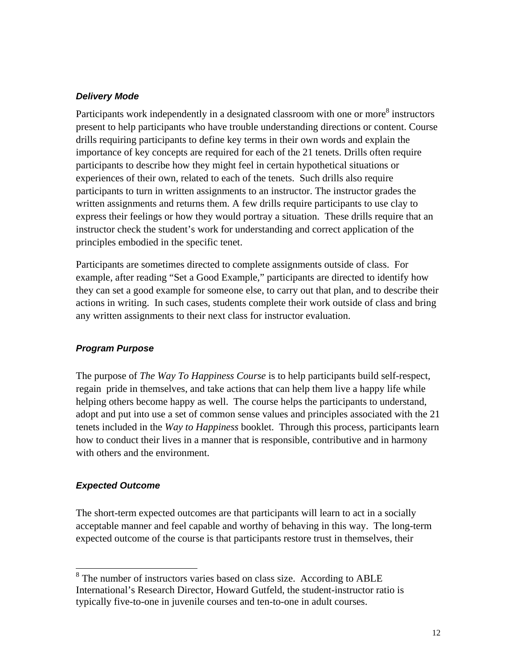#### <span id="page-15-0"></span>*Delivery Mode*

Participants work independently in a designated classroom with one or more<sup>[8](#page-15-1)</sup> instructors present to help participants who have trouble understanding directions or content. Course drills requiring participants to define key terms in their own words and explain the importance of key concepts are required for each of the 21 tenets. Drills often require participants to describe how they might feel in certain hypothetical situations or experiences of their own, related to each of the tenets. Such drills also require participants to turn in written assignments to an instructor. The instructor grades the written assignments and returns them. A few drills require participants to use clay to express their feelings or how they would portray a situation. These drills require that an instructor check the student's work for understanding and correct application of the principles embodied in the specific tenet.

Participants are sometimes directed to complete assignments outside of class. For example, after reading "Set a Good Example," participants are directed to identify how they can set a good example for someone else, to carry out that plan, and to describe their actions in writing. In such cases, students complete their work outside of class and bring any written assignments to their next class for instructor evaluation.

# *Program Purpose*

The purpose of *The Way To Happiness Course* is to help participants build self-respect, regain pride in themselves, and take actions that can help them live a happy life while helping others become happy as well. The course helps the participants to understand, adopt and put into use a set of common sense values and principles associated with the 21 tenets included in the *Way to Happiness* booklet. Through this process, participants learn how to conduct their lives in a manner that is responsible, contributive and in harmony with others and the environment.

#### *Expected Outcome*

The short-term expected outcomes are that participants will learn to act in a socially acceptable manner and feel capable and worthy of behaving in this way. The long-term expected outcome of the course is that participants restore trust in themselves, their

<span id="page-15-1"></span><sup>&</sup>lt;sup>8</sup> The number of instructors varies based on class size. According to ABLE International's Research Director, Howard Gutfeld, the student-instructor ratio is typically five-to-one in juvenile courses and ten-to-one in adult courses.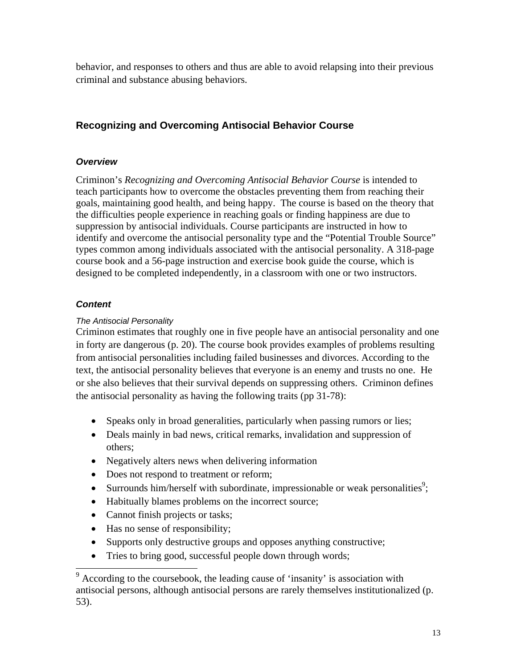<span id="page-16-0"></span>behavior, and responses to others and thus are able to avoid relapsing into their previous criminal and substance abusing behaviors.

# **Recognizing and Overcoming Antisocial Behavior Course**

# *Overview*

Criminon's *Recognizing and Overcoming Antisocial Behavior Course* is intended to teach participants how to overcome the obstacles preventing them from reaching their goals, maintaining good health, and being happy. The course is based on the theory that the difficulties people experience in reaching goals or finding happiness are due to suppression by antisocial individuals. Course participants are instructed in how to identify and overcome the antisocial personality type and the "Potential Trouble Source" types common among individuals associated with the antisocial personality. A 318-page course book and a 56-page instruction and exercise book guide the course, which is designed to be completed independently, in a classroom with one or two instructors.

# *Content*

# *The Antisocial Personality*

Criminon estimates that roughly one in five people have an antisocial personality and one in forty are dangerous (p. 20). The course book provides examples of problems resulting from antisocial personalities including failed businesses and divorces. According to the text, the antisocial personality believes that everyone is an enemy and trusts no one. He or she also believes that their survival depends on suppressing others. Criminon defines the antisocial personality as having the following traits (pp 31-78):

- Speaks only in broad generalities, particularly when passing rumors or lies;
- Deals mainly in bad news, critical remarks, invalidation and suppression of others;
- Negatively alters news when delivering information
- Does not respond to treatment or reform;
- Surrounds him/herself with subordinate, impressionable or weak personalities<sup>[9](#page-16-1)</sup>;
- Habitually blames problems on the incorrect source;
- Cannot finish projects or tasks;
- Has no sense of responsibility;
- Supports only destructive groups and opposes anything constructive;
- Tries to bring good, successful people down through words;

<span id="page-16-1"></span><sup>&</sup>lt;sup>9</sup> According to the coursebook, the leading cause of 'insanity' is association with antisocial persons, although antisocial persons are rarely themselves institutionalized (p. 53).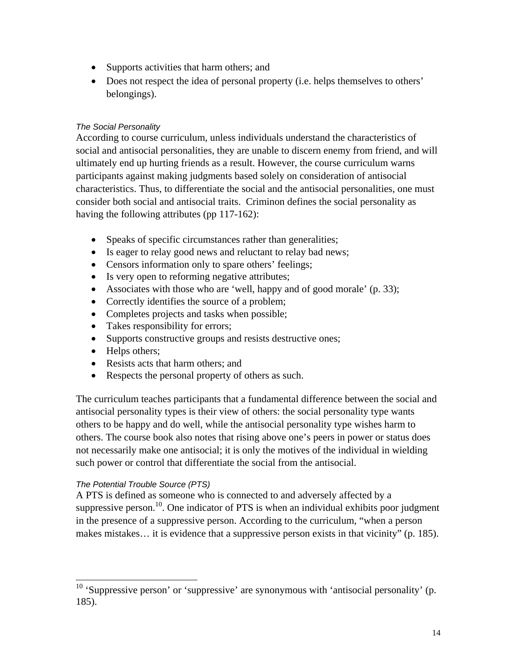- Supports activities that harm others; and
- Does not respect the idea of personal property (i.e. helps themselves to others' belongings).

### *The Social Personality*

According to course curriculum, unless individuals understand the characteristics of social and antisocial personalities, they are unable to discern enemy from friend, and will ultimately end up hurting friends as a result. However, the course curriculum warns participants against making judgments based solely on consideration of antisocial characteristics. Thus, to differentiate the social and the antisocial personalities, one must consider both social and antisocial traits. Criminon defines the social personality as having the following attributes (pp 117-162):

- Speaks of specific circumstances rather than generalities;
- Is eager to relay good news and reluctant to relay bad news;
- Censors information only to spare others' feelings;
- Is very open to reforming negative attributes;
- Associates with those who are 'well, happy and of good morale' (p. 33);
- Correctly identifies the source of a problem;
- Completes projects and tasks when possible;
- Takes responsibility for errors;
- Supports constructive groups and resists destructive ones;
- Helps others;
- Resists acts that harm others; and
- Respects the personal property of others as such.

The curriculum teaches participants that a fundamental difference between the social and antisocial personality types is their view of others: the social personality type wants others to be happy and do well, while the antisocial personality type wishes harm to others. The course book also notes that rising above one's peers in power or status does not necessarily make one antisocial; it is only the motives of the individual in wielding such power or control that differentiate the social from the antisocial.

# *The Potential Trouble Source (PTS)*

A PTS is defined as someone who is connected to and adversely affected by a suppressive person.<sup>10</sup>. One indicator of PTS is when an individual exhibits poor judgment in the presence of a suppressive person. According to the curriculum, "when a person makes mistakes… it is evidence that a suppressive person exists in that vicinity" (p. 185).

<span id="page-17-0"></span> $10$  'Suppressive person' or 'suppressive' are synonymous with 'antisocial personality' (p. 185).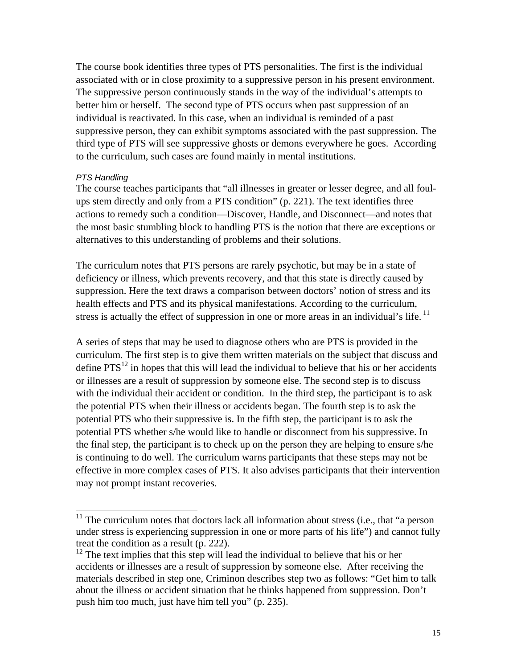The course book identifies three types of PTS personalities. The first is the individual associated with or in close proximity to a suppressive person in his present environment. The suppressive person continuously stands in the way of the individual's attempts to better him or herself. The second type of PTS occurs when past suppression of an individual is reactivated. In this case, when an individual is reminded of a past suppressive person, they can exhibit symptoms associated with the past suppression. The third type of PTS will see suppressive ghosts or demons everywhere he goes. According to the curriculum, such cases are found mainly in mental institutions.

#### *PTS Handling*

The course teaches participants that "all illnesses in greater or lesser degree, and all foulups stem directly and only from a PTS condition" (p. 221). The text identifies three actions to remedy such a condition—Discover, Handle, and Disconnect—and notes that the most basic stumbling block to handling PTS is the notion that there are exceptions or alternatives to this understanding of problems and their solutions.

The curriculum notes that PTS persons are rarely psychotic, but may be in a state of deficiency or illness, which prevents recovery, and that this state is directly caused by suppression. Here the text draws a comparison between doctors' notion of stress and its health effects and PTS and its physical manifestations. According to the curriculum, stress is actually the effect of suppression in one or more areas in an individual's life.<sup>[11](#page-18-0)</sup>

A series of steps that may be used to diagnose others who are PTS is provided in the curriculum. The first step is to give them written materials on the subject that discuss and define  $PTS^{12}$  in hopes that this will lead the individual to believe that his or her accidents or illnesses are a result of suppression by someone else. The second step is to discuss with the individual their accident or condition. In the third step, the participant is to ask the potential PTS when their illness or accidents began. The fourth step is to ask the potential PTS who their suppressive is. In the fifth step, the participant is to ask the potential PTS whether s/he would like to handle or disconnect from his suppressive. In the final step, the participant is to check up on the person they are helping to ensure s/he is continuing to do well. The curriculum warns participants that these steps may not be effective in more complex cases of PTS. It also advises participants that their intervention may not prompt instant recoveries.

<span id="page-18-0"></span> $11$  The curriculum notes that doctors lack all information about stress (i.e., that "a person under stress is experiencing suppression in one or more parts of his life") and cannot fully treat the condition as a result (p. 222).

<span id="page-18-1"></span> $12$  The text implies that this step will lead the individual to believe that his or her accidents or illnesses are a result of suppression by someone else. After receiving the materials described in step one, Criminon describes step two as follows: "Get him to talk about the illness or accident situation that he thinks happened from suppression. Don't push him too much, just have him tell you" (p. 235).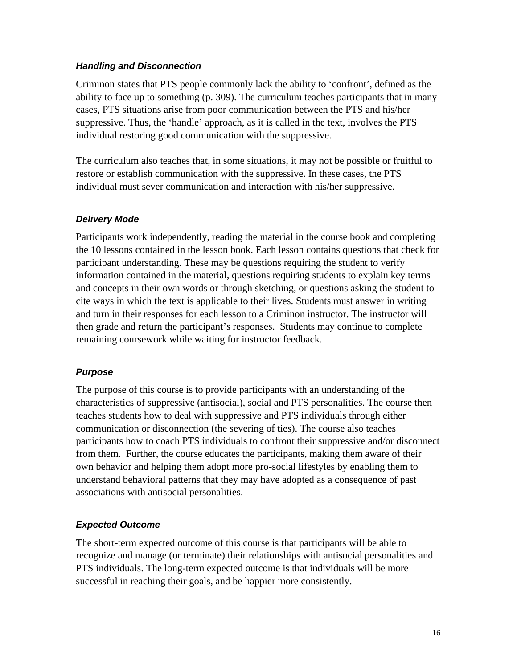#### <span id="page-19-0"></span>*Handling and Disconnection*

Criminon states that PTS people commonly lack the ability to 'confront', defined as the ability to face up to something (p. 309). The curriculum teaches participants that in many cases, PTS situations arise from poor communication between the PTS and his/her suppressive. Thus, the 'handle' approach, as it is called in the text, involves the PTS individual restoring good communication with the suppressive.

The curriculum also teaches that, in some situations, it may not be possible or fruitful to restore or establish communication with the suppressive. In these cases, the PTS individual must sever communication and interaction with his/her suppressive.

# *Delivery Mode*

Participants work independently, reading the material in the course book and completing the 10 lessons contained in the lesson book. Each lesson contains questions that check for participant understanding. These may be questions requiring the student to verify information contained in the material, questions requiring students to explain key terms and concepts in their own words or through sketching, or questions asking the student to cite ways in which the text is applicable to their lives. Students must answer in writing and turn in their responses for each lesson to a Criminon instructor. The instructor will then grade and return the participant's responses. Students may continue to complete remaining coursework while waiting for instructor feedback.

# *Purpose*

The purpose of this course is to provide participants with an understanding of the characteristics of suppressive (antisocial), social and PTS personalities. The course then teaches students how to deal with suppressive and PTS individuals through either communication or disconnection (the severing of ties). The course also teaches participants how to coach PTS individuals to confront their suppressive and/or disconnect from them.Further, the course educates the participants, making them aware of their own behavior and helping them adopt more pro-social lifestyles by enabling them to understand behavioral patterns that they may have adopted as a consequence of past associations with antisocial personalities.

# *Expected Outcome*

The short-term expected outcome of this course is that participants will be able to recognize and manage (or terminate) their relationships with antisocial personalities and PTS individuals. The long-term expected outcome is that individuals will be more successful in reaching their goals, and be happier more consistently.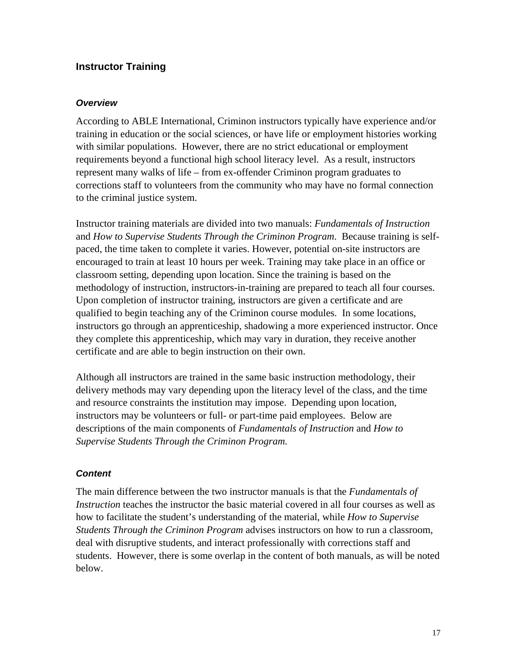# <span id="page-20-0"></span>**Instructor Training**

#### *Overview*

According to ABLE International, Criminon instructors typically have experience and/or training in education or the social sciences, or have life or employment histories working with similar populations. However, there are no strict educational or employment requirements beyond a functional high school literacy level. As a result, instructors represent many walks of life – from ex-offender Criminon program graduates to corrections staff to volunteers from the community who may have no formal connection to the criminal justice system.

Instructor training materials are divided into two manuals: *Fundamentals of Instruction* and *How to Supervise Students Through the Criminon Program*. Because training is selfpaced, the time taken to complete it varies. However, potential on-site instructors are encouraged to train at least 10 hours per week. Training may take place in an office or classroom setting, depending upon location. Since the training is based on the methodology of instruction, instructors-in-training are prepared to teach all four courses. Upon completion of instructor training, instructors are given a certificate and are qualified to begin teaching any of the Criminon course modules. In some locations, instructors go through an apprenticeship, shadowing a more experienced instructor. Once they complete this apprenticeship, which may vary in duration, they receive another certificate and are able to begin instruction on their own.

Although all instructors are trained in the same basic instruction methodology, their delivery methods may vary depending upon the literacy level of the class, and the time and resource constraints the institution may impose. Depending upon location, instructors may be volunteers or full- or part-time paid employees. Below are descriptions of the main components of *Fundamentals of Instruction* and *How to Supervise Students Through the Criminon Program.*

# *Content*

The main difference between the two instructor manuals is that the *Fundamentals of Instruction* teaches the instructor the basic material covered in all four courses as well as how to facilitate the student's understanding of the material, while *How to Supervise Students Through the Criminon Program* advises instructors on how to run a classroom, deal with disruptive students, and interact professionally with corrections staff and students. However, there is some overlap in the content of both manuals, as will be noted below.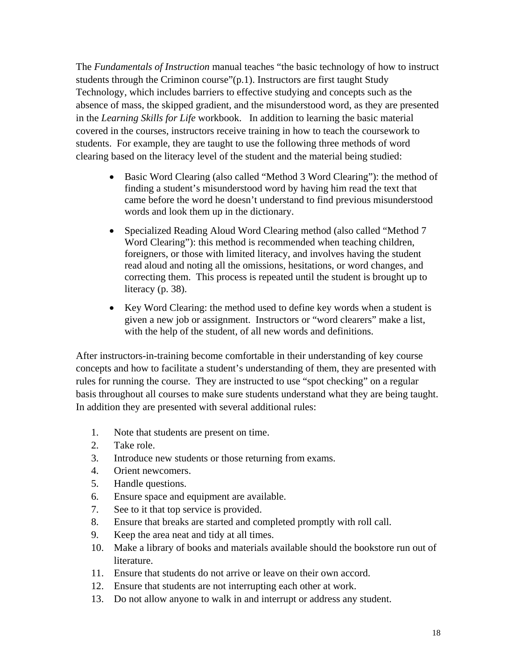The *Fundamentals of Instruction* manual teaches "the basic technology of how to instruct students through the Criminon course"(p.1). Instructors are first taught Study Technology, which includes barriers to effective studying and concepts such as the absence of mass, the skipped gradient, and the misunderstood word, as they are presented in the *Learning Skills for Life* workbook. In addition to learning the basic material covered in the courses, instructors receive training in how to teach the coursework to students. For example, they are taught to use the following three methods of word clearing based on the literacy level of the student and the material being studied:

- Basic Word Clearing (also called "Method 3 Word Clearing"): the method of finding a student's misunderstood word by having him read the text that came before the word he doesn't understand to find previous misunderstood words and look them up in the dictionary.
- Specialized Reading Aloud Word Clearing method (also called "Method 7 Word Clearing"): this method is recommended when teaching children, foreigners, or those with limited literacy, and involves having the student read aloud and noting all the omissions, hesitations, or word changes, and correcting them. This process is repeated until the student is brought up to literacy (p. 38).
- Key Word Clearing: the method used to define key words when a student is given a new job or assignment. Instructors or "word clearers" make a list, with the help of the student, of all new words and definitions.

After instructors-in-training become comfortable in their understanding of key course concepts and how to facilitate a student's understanding of them, they are presented with rules for running the course. They are instructed to use "spot checking" on a regular basis throughout all courses to make sure students understand what they are being taught. In addition they are presented with several additional rules:

- 1. Note that students are present on time.
- 2. Take role.
- 3. Introduce new students or those returning from exams.
- 4. Orient newcomers.
- 5. Handle questions.
- 6. Ensure space and equipment are available.
- 7. See to it that top service is provided.
- 8. Ensure that breaks are started and completed promptly with roll call.
- 9. Keep the area neat and tidy at all times.
- 10. Make a library of books and materials available should the bookstore run out of literature.
- 11. Ensure that students do not arrive or leave on their own accord.
- 12. Ensure that students are not interrupting each other at work.
- 13. Do not allow anyone to walk in and interrupt or address any student.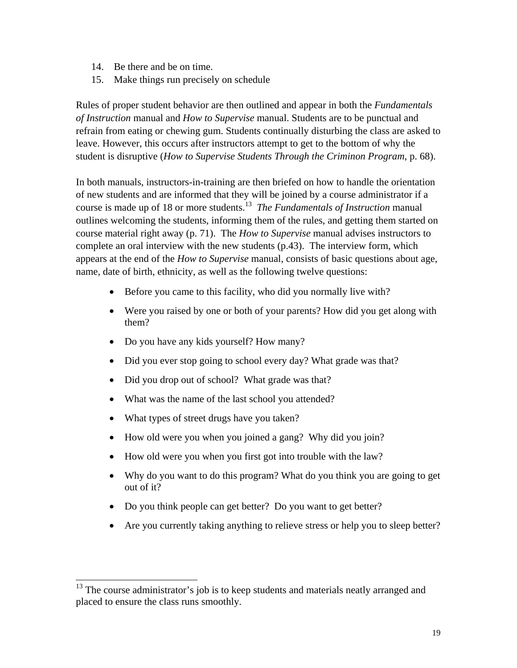- 14. Be there and be on time.
- 15. Make things run precisely on schedule

Rules of proper student behavior are then outlined and appear in both the *Fundamentals of Instruction* manual and *How to Supervise* manual. Students are to be punctual and refrain from eating or chewing gum. Students continually disturbing the class are asked to leave. However, this occurs after instructors attempt to get to the bottom of why the student is disruptive (*How to Supervise Students Through the Criminon Program*, p. 68).

In both manuals, instructors-in-training are then briefed on how to handle the orientation of new students and are informed that they will be joined by a course administrator if a course is made up of 18 or more students[.13](#page-22-0) *The Fundamentals of Instruction* manual outlines welcoming the students, informing them of the rules, and getting them started on course material right away (p. 71). The *How to Supervise* manual advises instructors to complete an oral interview with the new students (p.43). The interview form, which appears at the end of the *How to Supervise* manual, consists of basic questions about age, name, date of birth, ethnicity, as well as the following twelve questions:

- Before you came to this facility, who did you normally live with?
- Were you raised by one or both of your parents? How did you get along with them?
- Do you have any kids yourself? How many?
- Did you ever stop going to school every day? What grade was that?
- Did you drop out of school? What grade was that?
- What was the name of the last school you attended?
- What types of street drugs have you taken?
- How old were you when you joined a gang? Why did you join?
- How old were you when you first got into trouble with the law?
- Why do you want to do this program? What do you think you are going to get out of it?
- Do you think people can get better? Do you want to get better?
- Are you currently taking anything to relieve stress or help you to sleep better?

<span id="page-22-0"></span><sup>&</sup>lt;sup>13</sup> The course administrator's job is to keep students and materials neatly arranged and placed to ensure the class runs smoothly.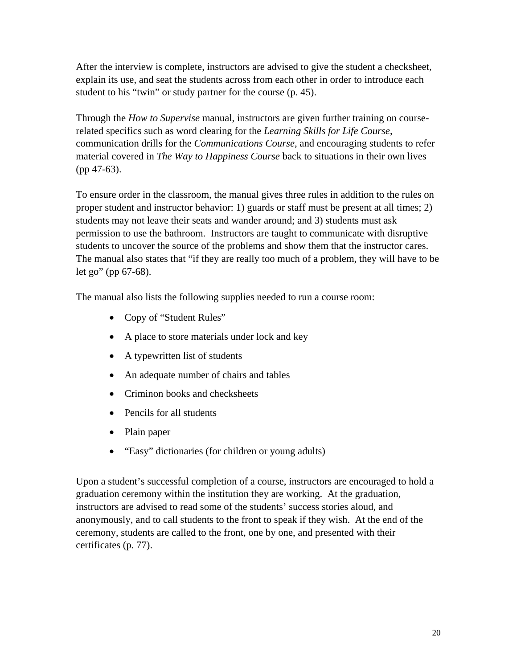After the interview is complete, instructors are advised to give the student a checksheet, explain its use, and seat the students across from each other in order to introduce each student to his "twin" or study partner for the course (p. 45).

Through the *How to Supervise* manual, instructors are given further training on courserelated specifics such as word clearing for the *Learning Skills for Life Course*, communication drills for the *Communications Course*, and encouraging students to refer material covered in *The Way to Happiness Course* back to situations in their own lives (pp 47-63).

To ensure order in the classroom, the manual gives three rules in addition to the rules on proper student and instructor behavior: 1) guards or staff must be present at all times; 2) students may not leave their seats and wander around; and 3) students must ask permission to use the bathroom. Instructors are taught to communicate with disruptive students to uncover the source of the problems and show them that the instructor cares. The manual also states that "if they are really too much of a problem, they will have to be let go" (pp 67-68).

The manual also lists the following supplies needed to run a course room:

- Copy of "Student Rules"
- A place to store materials under lock and key
- A typewritten list of students
- An adequate number of chairs and tables
- Criminon books and checksheets
- Pencils for all students
- Plain paper
- "Easy" dictionaries (for children or young adults)

Upon a student's successful completion of a course, instructors are encouraged to hold a graduation ceremony within the institution they are working. At the graduation, instructors are advised to read some of the students' success stories aloud, and anonymously, and to call students to the front to speak if they wish. At the end of the ceremony, students are called to the front, one by one, and presented with their certificates (p. 77).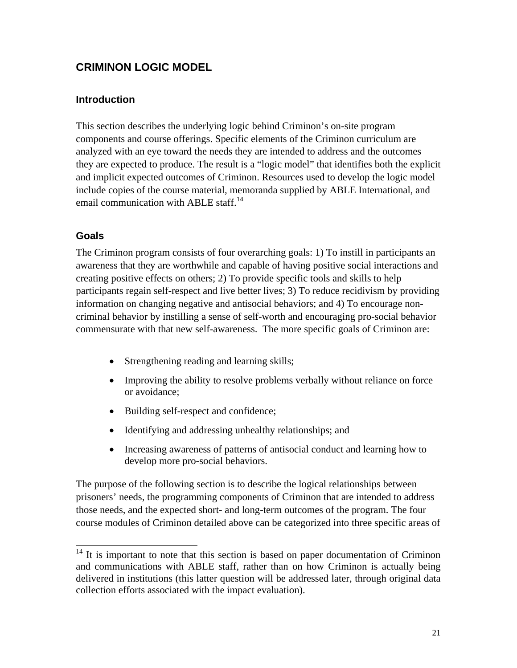# <span id="page-24-0"></span>**CRIMINON LOGIC MODEL**

# **Introduction**

This section describes the underlying logic behind Criminon's on-site program components and course offerings. Specific elements of the Criminon curriculum are analyzed with an eye toward the needs they are intended to address and the outcomes they are expected to produce. The result is a "logic model" that identifies both the explicit and implicit expected outcomes of Criminon. Resources used to develop the logic model include copies of the course material, memoranda supplied by ABLE International, and email communication with ABLE staff.<sup>[14](#page-24-1)</sup>

# **Goals**

The Criminon program consists of four overarching goals: 1) To instill in participants an awareness that they are worthwhile and capable of having positive social interactions and creating positive effects on others; 2) To provide specific tools and skills to help participants regain self-respect and live better lives; 3) To reduce recidivism by providing information on changing negative and antisocial behaviors; and 4) To encourage noncriminal behavior by instilling a sense of self-worth and encouraging pro-social behavior commensurate with that new self-awareness. The more specific goals of Criminon are:

- Strengthening reading and learning skills;
- Improving the ability to resolve problems verbally without reliance on force or avoidance;
- Building self-respect and confidence;
- Identifying and addressing unhealthy relationships; and
- Increasing awareness of patterns of antisocial conduct and learning how to develop more pro-social behaviors.

The purpose of the following section is to describe the logical relationships between prisoners' needs, the programming components of Criminon that are intended to address those needs, and the expected short- and long-term outcomes of the program. The four course modules of Criminon detailed above can be categorized into three specific areas of

<span id="page-24-1"></span><sup>&</sup>lt;sup>14</sup> It is important to note that this section is based on paper documentation of Criminon and communications with ABLE staff, rather than on how Criminon is actually being delivered in institutions (this latter question will be addressed later, through original data collection efforts associated with the impact evaluation).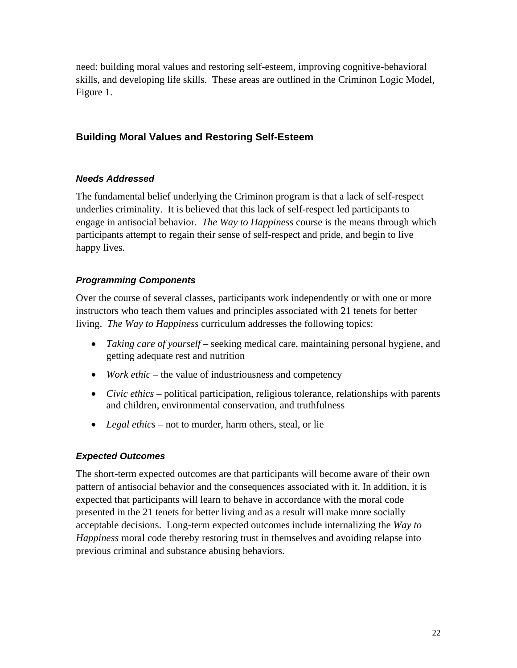<span id="page-25-0"></span>need: building moral values and restoring self-esteem, improving cognitive-behavioral skills, and developing life skills. These areas are outlined in the Criminon Logic Model, Figure 1.

# **Building Moral Values and Restoring Self-Esteem**

# *Needs Addressed*

The fundamental belief underlying the Criminon program is that a lack of self-respect underlies criminality. It is believed that this lack of self-respect led participants to engage in antisocial behavior. *The Way to Happiness* course is the means through which participants attempt to regain their sense of self-respect and pride, and begin to live happy lives.

# *Programming Components*

Over the course of several classes, participants work independently or with one or more instructors who teach them values and principles associated with 21 tenets for better living. *The Way to Happiness* curriculum addresses the following topics:

- *Taking care of yourself* seeking medical care, maintaining personal hygiene, and getting adequate rest and nutrition
- *Work ethic* the value of industriousness and competency
- *Civic ethics* political participation, religious tolerance, relationships with parents and children, environmental conservation, and truthfulness
- *Legal ethics* not to murder, harm others, steal, or lie

# *Expected Outcomes*

The short-term expected outcomes are that participants will become aware of their own pattern of antisocial behavior and the consequences associated with it. In addition, it is expected that participants will learn to behave in accordance with the moral code presented in the 21 tenets for better living and as a result will make more socially acceptable decisions. Long-term expected outcomes include internalizing the *Way to Happiness* moral code thereby restoring trust in themselves and avoiding relapse into previous criminal and substance abusing behaviors.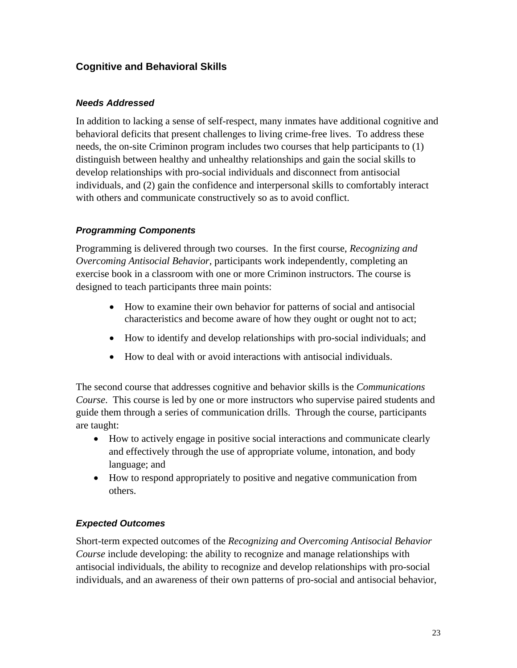# <span id="page-26-0"></span>**Cognitive and Behavioral Skills**

### *Needs Addressed*

In addition to lacking a sense of self-respect, many inmates have additional cognitive and behavioral deficits that present challenges to living crime-free lives. To address these needs, the on-site Criminon program includes two courses that help participants to (1) distinguish between healthy and unhealthy relationships and gain the social skills to develop relationships with pro-social individuals and disconnect from antisocial individuals, and (2) gain the confidence and interpersonal skills to comfortably interact with others and communicate constructively so as to avoid conflict.

# *Programming Components*

Programming is delivered through two courses. In the first course, *Recognizing and Overcoming Antisocial Behavior,* participants work independently, completing an exercise book in a classroom with one or more Criminon instructors. The course is designed to teach participants three main points:

- How to examine their own behavior for patterns of social and antisocial characteristics and become aware of how they ought or ought not to act;
- How to identify and develop relationships with pro-social individuals; and
- How to deal with or avoid interactions with antisocial individuals.

The second course that addresses cognitive and behavior skills is the *Communications Course*. This course is led by one or more instructors who supervise paired students and guide them through a series of communication drills. Through the course, participants are taught:

- How to actively engage in positive social interactions and communicate clearly and effectively through the use of appropriate volume, intonation, and body language; and
- How to respond appropriately to positive and negative communication from others.

# *Expected Outcomes*

Short-term expected outcomes of the *Recognizing and Overcoming Antisocial Behavior Course* include developing: the ability to recognize and manage relationships with antisocial individuals, the ability to recognize and develop relationships with pro-social individuals, and an awareness of their own patterns of pro-social and antisocial behavior,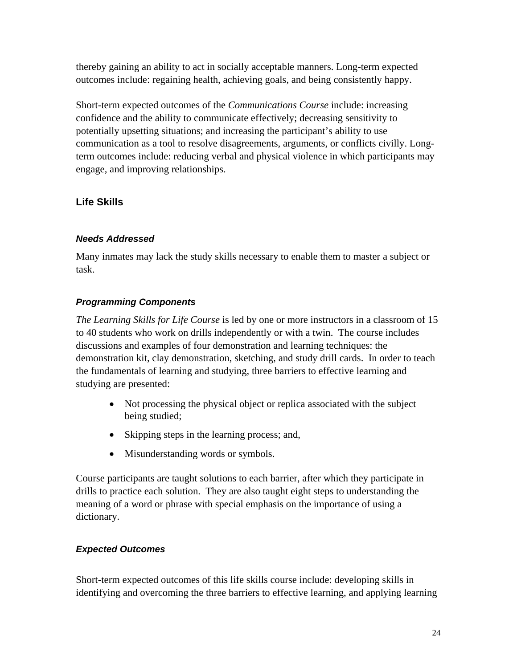<span id="page-27-0"></span>thereby gaining an ability to act in socially acceptable manners. Long-term expected outcomes include: regaining health, achieving goals, and being consistently happy.

Short-term expected outcomes of the *Communications Course* include: increasing confidence and the ability to communicate effectively; decreasing sensitivity to potentially upsetting situations; and increasing the participant's ability to use communication as a tool to resolve disagreements, arguments, or conflicts civilly. Longterm outcomes include: reducing verbal and physical violence in which participants may engage, and improving relationships.

# **Life Skills**

# *Needs Addressed*

Many inmates may lack the study skills necessary to enable them to master a subject or task.

# *Programming Components*

*The Learning Skills for Life Course* is led by one or more instructors in a classroom of 15 to 40 students who work on drills independently or with a twin. The course includes discussions and examples of four demonstration and learning techniques: the demonstration kit, clay demonstration, sketching, and study drill cards. In order to teach the fundamentals of learning and studying, three barriers to effective learning and studying are presented:

- Not processing the physical object or replica associated with the subject being studied;
- Skipping steps in the learning process; and,
- Misunderstanding words or symbols.

Course participants are taught solutions to each barrier, after which they participate in drills to practice each solution. They are also taught eight steps to understanding the meaning of a word or phrase with special emphasis on the importance of using a dictionary.

# *Expected Outcomes*

Short-term expected outcomes of this life skills course include: developing skills in identifying and overcoming the three barriers to effective learning, and applying learning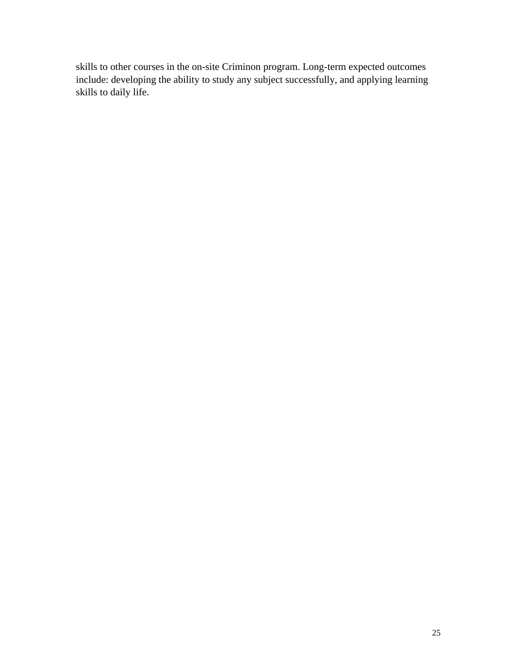skills to other courses in the on-site Criminon program. Long-term expected outcomes include: developing the ability to study any subject successfully, and applying learning skills to daily life.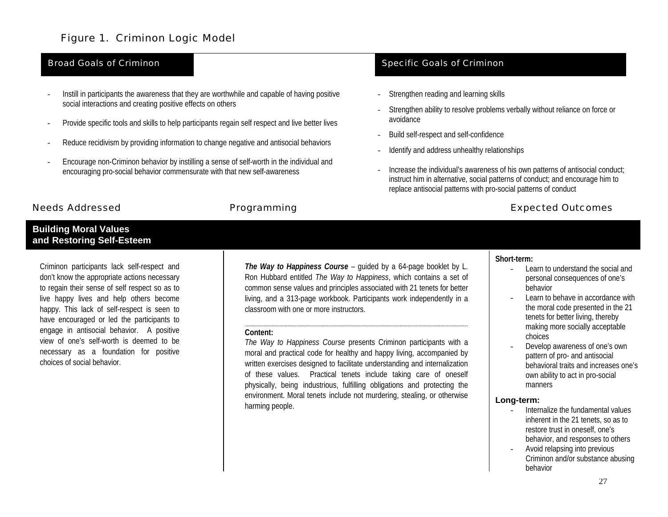# Figure 1. Criminon Logic Model

- Instill in participants the awareness that they are worthwhile and capable of having positive social interactions and creating positive effects on others
- Provide specific tools and skills to help participants regain self respect and live better lives
- Reduce recidivism by providing information to change negative and antisocial behaviors
- Encourage non-Criminon behavior by instilling a sense of self-worth in the individual and encouraging pro-social behavior commensurate with that new self-awareness

#### Needs Addressed

#### **Building Moral Values and Restoring Self-Esteem**

Criminon participants lack self-respect and don't know the appropriate actions necessary to regain their sense of self respect so as to live happy lives and help others become happy. This lack of self-respect is seen to have encouraged or led the participants to engage in antisocial behavior. A positive view of one's self-worth is deemed to benecessary as a foundation for positive choices of social behavior.

*The Way to Happiness Course* – guided by a 64-page booklet by L. Ron Hubbard entitled *The Way to Happiness*, which contains a set of common sense values and principles associated with 21 tenets for better living, and a 313-page workbook. Participants work independently in a classroom with one or more instructors.

#### **Content:**

*The Way to Happiness Course* presents Criminon participants with a moral and practical code for healthy and happy living, accompanied by written exercises designed to facilitate understanding and internalization of these values. Practical tenets include taking care of oneself physically, being industrious, fulfilling obligations and protecting the environment. Moral tenets include not murdering, stealing, or otherwise harming people.

#### **Broad Goals of Criminon** Specific Goals of Criminon

- Strengthen reading and learning skills
- Strengthen ability to resolve problems verbally without reliance on force or avoidance
- Build self-respect and self-confidence
- Identify and address unhealthy relationships
- Increase the individual's awareness of his own patterns of antisocial conduct; instruct him in alternative, social patterns of conduct; and encourage him to replace antisocial patterns with pro-social patterns of conduct

#### Programming **Expected Outcomes**

#### **Short-term:**

- Learn to understand the social and personal consequences of one's behavior
- Learn to behave in accordance with the moral code presented in the 21 tenets for better living, thereby making more socially acceptable choices
- Develop awareness of one's own pattern of pro- and antisocial behavioral traits and increases one's own ability to act in pro-social manners

#### **Long-term:**

- Internalize the fundamental valuesinherent in the 21 tenets, so as to restore trust in oneself, one's behavior, and responses to others
- Avoid relapsing into previous Criminon and/or substance abusing behavior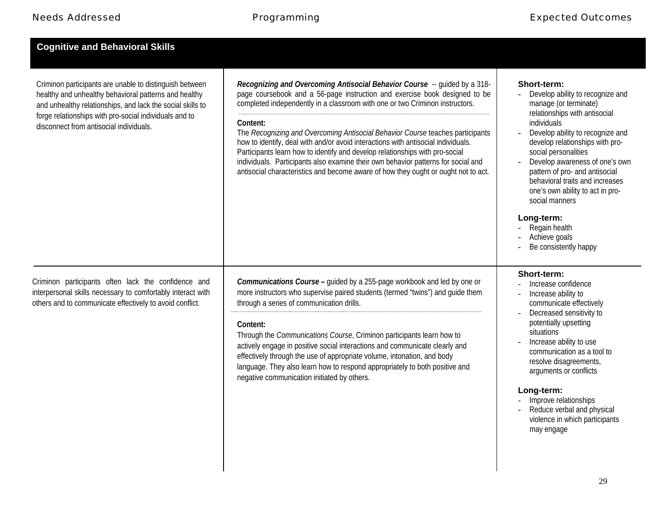| <b>Cognitive and Behavioral Skills</b>                                                                                                                                                                                                                                              |                                                                                                                                                                                                                                                                                                                                                                                                                                                                                                                                                                                                                                                                                       |                                                                                                                                                                                                                                                                                                                                                                                                                                                               |
|-------------------------------------------------------------------------------------------------------------------------------------------------------------------------------------------------------------------------------------------------------------------------------------|---------------------------------------------------------------------------------------------------------------------------------------------------------------------------------------------------------------------------------------------------------------------------------------------------------------------------------------------------------------------------------------------------------------------------------------------------------------------------------------------------------------------------------------------------------------------------------------------------------------------------------------------------------------------------------------|---------------------------------------------------------------------------------------------------------------------------------------------------------------------------------------------------------------------------------------------------------------------------------------------------------------------------------------------------------------------------------------------------------------------------------------------------------------|
| Criminon participants are unable to distinguish between<br>healthy and unhealthy behavioral patterns and healthy<br>and unhealthy relationships, and lack the social skills to<br>forge relationships with pro-social individuals and to<br>disconnect from antisocial individuals. | Recognizing and Overcoming Antisocial Behavior Course -- quided by a 318-<br>page coursebook and a 56-page instruction and exercise book designed to be<br>completed independently in a classroom with one or two Criminon instructors.<br>Content:<br>The Recognizing and Overcoming Antisocial Behavior Course teaches participants<br>how to identify, deal with and/or avoid interactions with antisocial individuals.<br>Participants learn how to identify and develop relationships with pro-social<br>individuals. Participants also examine their own behavior patterns for social and<br>antisocial characteristics and become aware of how they ought or ought not to act. | Short-term:<br>Develop ability to recognize and<br>manage (or terminate)<br>relationships with antisocial<br>individuals<br>Develop ability to recognize and<br>develop relationships with pro-<br>social personalities<br>Develop awareness of one's own<br>pattern of pro- and antisocial<br>behavioral traits and increases<br>one's own ability to act in pro-<br>social manners<br>Long-term:<br>Regain health<br>Achieve goals<br>Be consistently happy |
| Criminon participants often lack the confidence and<br>interpersonal skills necessary to comfortably interact with<br>others and to communicate effectively to avoid conflict.                                                                                                      | Communications Course - guided by a 255-page workbook and led by one or<br>more instructors who supervise paired students (termed "twins") and quide them<br>through a series of communication drills.<br>Content:<br>Through the Communications Course, Criminon participants learn how to<br>actively engage in positive social interactions and communicate clearly and<br>effectively through the use of appropriate volume, intonation, and body<br>language. They also learn how to respond appropriately to both positive and<br>negative communication initiated by others.                                                                                                   | Short-term:<br>Increase confidence<br>Increase ability to<br>communicate effectively<br>Decreased sensitivity to<br>potentially upsetting<br>situations<br>Increase ability to use<br>communication as a tool to<br>resolve disagreements,<br>arguments or conflicts<br>Long-term:<br>Improve relationships<br>Reduce verbal and physical<br>violence in which participants<br>may engage                                                                     |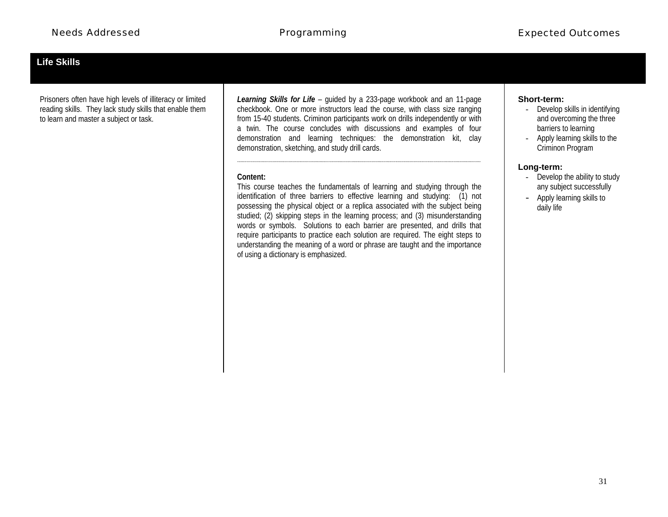# **Life Skills**

Prisoners often have high levels of illiteracy or limited reading skills. They lack study skills that enable them to learn and master a subject or task.

*Learning Skills for Life* – guided by a 233-page workbook and an 11-page checkbook. One or more instructors lead the course, with class size ranging from 15-40 students. Criminon participants work on drills independently or with a twin. The course concludes with discussions and examples of four demonstration and learning techniques: the demonstration kit, clay demonstration, sketching, and study drill cards.

#### **Content:**

This course teaches the fundamentals of learning and studying through the identification of three barriers to effective learning and studying: (1) not possessing the physical object or a replica associated with the subject being studied; (2) skipping steps in the learning process; and (3) misunderstanding words or symbols. Solutions to each barrier are presented, and drills that require participants to practice each solution are required. The eight steps to understanding the meaning of a word or phrase are taught and the importance of using a dictionary is emphasized.

#### **Short-term:**

- Develop skills in identifying and overcoming the three barriers to learning
- Apply learning skills to the Criminon Program

#### **Long-term:**

- Develop the ability to study any subject successfully
- Apply learning skills to daily life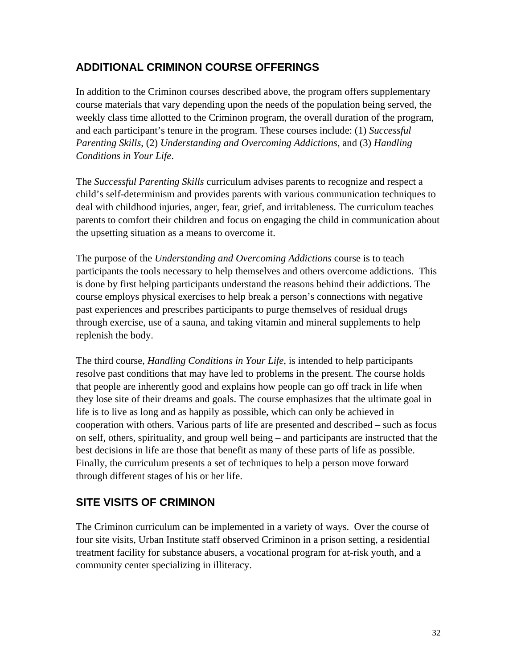# <span id="page-35-0"></span>**ADDITIONAL CRIMINON COURSE OFFERINGS**

In addition to the Criminon courses described above, the program offers supplementary course materials that vary depending upon the needs of the population being served, the weekly class time allotted to the Criminon program, the overall duration of the program, and each participant's tenure in the program. These courses include: (1) *Successful Parenting Skills*, (2) *Understanding and Overcoming Addictions*, and (3) *Handling Conditions in Your Life*.

The *Successful Parenting Skills* curriculum advises parents to recognize and respect a child's self-determinism and provides parents with various communication techniques to deal with childhood injuries, anger, fear, grief, and irritableness. The curriculum teaches parents to comfort their children and focus on engaging the child in communication about the upsetting situation as a means to overcome it.

The purpose of the *Understanding and Overcoming Addictions* course is to teach participants the tools necessary to help themselves and others overcome addictions. This is done by first helping participants understand the reasons behind their addictions. The course employs physical exercises to help break a person's connections with negative past experiences and prescribes participants to purge themselves of residual drugs through exercise, use of a sauna, and taking vitamin and mineral supplements to help replenish the body.

The third course, *Handling Conditions in Your Life*, is intended to help participants resolve past conditions that may have led to problems in the present. The course holds that people are inherently good and explains how people can go off track in life when they lose site of their dreams and goals. The course emphasizes that the ultimate goal in life is to live as long and as happily as possible, which can only be achieved in cooperation with others. Various parts of life are presented and described – such as focus on self, others, spirituality, and group well being – and participants are instructed that the best decisions in life are those that benefit as many of these parts of life as possible. Finally, the curriculum presents a set of techniques to help a person move forward through different stages of his or her life.

# **SITE VISITS OF CRIMINON**

The Criminon curriculum can be implemented in a variety of ways. Over the course of four site visits, Urban Institute staff observed Criminon in a prison setting, a residential treatment facility for substance abusers, a vocational program for at-risk youth, and a community center specializing in illiteracy.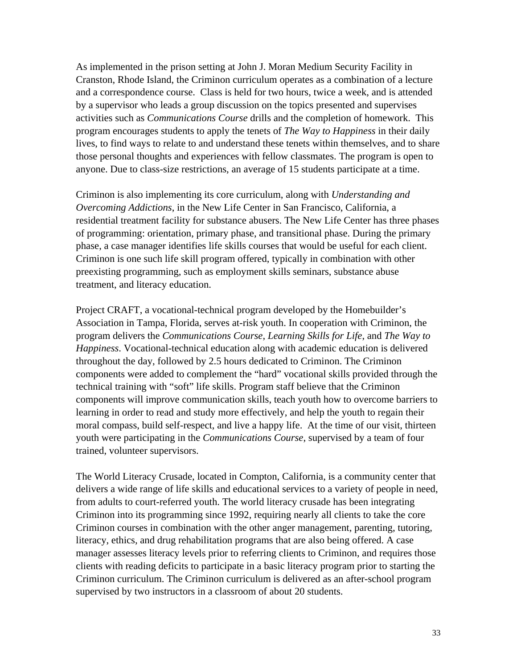As implemented in the prison setting at John J. Moran Medium Security Facility in Cranston, Rhode Island, the Criminon curriculum operates as a combination of a lecture and a correspondence course. Class is held for two hours, twice a week, and is attended by a supervisor who leads a group discussion on the topics presented and supervises activities such as *Communications Course* drills and the completion of homework. This program encourages students to apply the tenets of *The Way to Happiness* in their daily lives, to find ways to relate to and understand these tenets within themselves, and to share those personal thoughts and experiences with fellow classmates. The program is open to anyone. Due to class-size restrictions, an average of 15 students participate at a time.

Criminon is also implementing its core curriculum, along with *Understanding and Overcoming Addictions*, in the New Life Center in San Francisco, California, a residential treatment facility for substance abusers. The New Life Center has three phases of programming: orientation, primary phase, and transitional phase. During the primary phase, a case manager identifies life skills courses that would be useful for each client. Criminon is one such life skill program offered, typically in combination with other preexisting programming, such as employment skills seminars, substance abuse treatment, and literacy education.

Project CRAFT, a vocational-technical program developed by the Homebuilder's Association in Tampa, Florida, serves at-risk youth. In cooperation with Criminon, the program delivers the *Communications Course*, *Learning Skills for Life*, and *The Way to Happiness*. Vocational-technical education along with academic education is delivered throughout the day, followed by 2.5 hours dedicated to Criminon. The Criminon components were added to complement the "hard" vocational skills provided through the technical training with "soft" life skills. Program staff believe that the Criminon components will improve communication skills, teach youth how to overcome barriers to learning in order to read and study more effectively, and help the youth to regain their moral compass, build self-respect, and live a happy life. At the time of our visit, thirteen youth were participating in the *Communications Course*, supervised by a team of four trained, volunteer supervisors.

The World Literacy Crusade, located in Compton, California, is a community center that delivers a wide range of life skills and educational services to a variety of people in need, from adults to court-referred youth. The world literacy crusade has been integrating Criminon into its programming since 1992, requiring nearly all clients to take the core Criminon courses in combination with the other anger management, parenting, tutoring, literacy, ethics, and drug rehabilitation programs that are also being offered. A case manager assesses literacy levels prior to referring clients to Criminon, and requires those clients with reading deficits to participate in a basic literacy program prior to starting the Criminon curriculum. The Criminon curriculum is delivered as an after-school program supervised by two instructors in a classroom of about 20 students.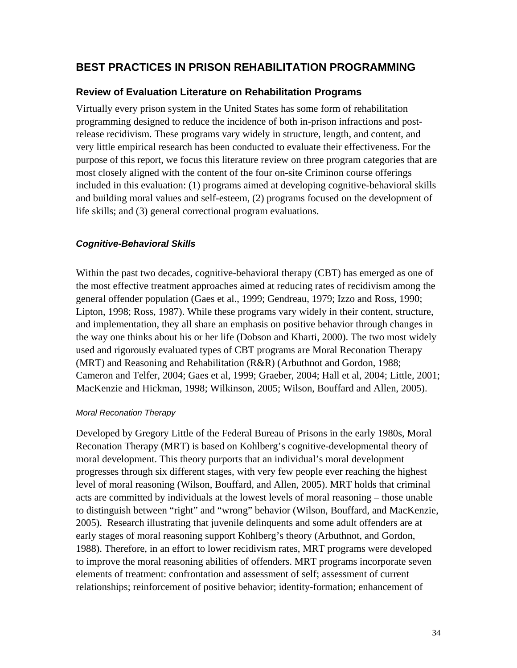# <span id="page-37-0"></span>**BEST PRACTICES IN PRISON REHABILITATION PROGRAMMING**

# **Review of Evaluation Literature on Rehabilitation Programs**

Virtually every prison system in the United States has some form of rehabilitation programming designed to reduce the incidence of both in-prison infractions and postrelease recidivism. These programs vary widely in structure, length, and content, and very little empirical research has been conducted to evaluate their effectiveness. For the purpose of this report, we focus this literature review on three program categories that are most closely aligned with the content of the four on-site Criminon course offerings included in this evaluation: (1) programs aimed at developing cognitive-behavioral skills and building moral values and self-esteem, (2) programs focused on the development of life skills; and (3) general correctional program evaluations.

#### *Cognitive-Behavioral Skills*

Within the past two decades, cognitive-behavioral therapy (CBT) has emerged as one of the most effective treatment approaches aimed at reducing rates of recidivism among the general offender population (Gaes et al., 1999; Gendreau, 1979; Izzo and Ross, 1990; Lipton, 1998; Ross, 1987). While these programs vary widely in their content, structure, and implementation, they all share an emphasis on positive behavior through changes in the way one thinks about his or her life (Dobson and Kharti, 2000). The two most widely used and rigorously evaluated types of CBT programs are Moral Reconation Therapy (MRT) and Reasoning and Rehabilitation (R&R) (Arbuthnot and Gordon, 1988; Cameron and Telfer, 2004; Gaes et al, 1999; Graeber, 2004; Hall et al, 2004; Little, 2001; MacKenzie and Hickman, 1998; Wilkinson, 2005; Wilson, Bouffard and Allen, 2005).

#### *Moral Reconation Therapy*

Developed by Gregory Little of the Federal Bureau of Prisons in the early 1980s, Moral Reconation Therapy (MRT) is based on Kohlberg's cognitive-developmental theory of moral development. This theory purports that an individual's moral development progresses through six different stages, with very few people ever reaching the highest level of moral reasoning (Wilson, Bouffard, and Allen, 2005). MRT holds that criminal acts are committed by individuals at the lowest levels of moral reasoning – those unable to distinguish between "right" and "wrong" behavior (Wilson, Bouffard, and MacKenzie, 2005). Research illustrating that juvenile delinquents and some adult offenders are at early stages of moral reasoning support Kohlberg's theory (Arbuthnot, and Gordon, 1988). Therefore, in an effort to lower recidivism rates, MRT programs were developed to improve the moral reasoning abilities of offenders. MRT programs incorporate seven elements of treatment: confrontation and assessment of self; assessment of current relationships; reinforcement of positive behavior; identity-formation; enhancement of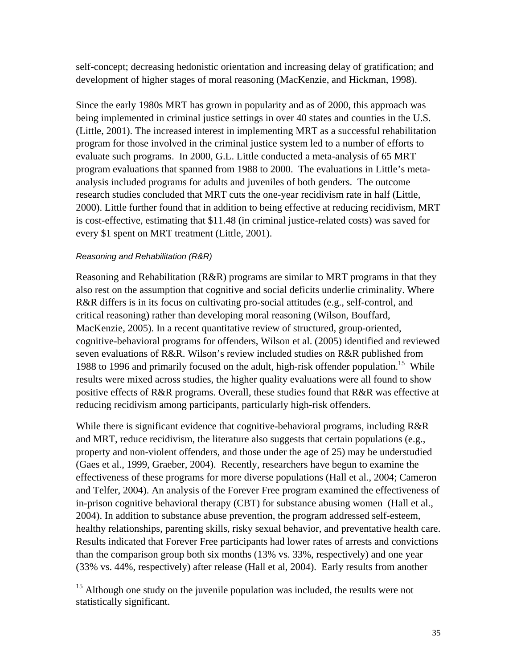self-concept; decreasing hedonistic orientation and increasing delay of gratification; and development of higher stages of moral reasoning (MacKenzie, and Hickman, 1998).

Since the early 1980s MRT has grown in popularity and as of 2000, this approach was being implemented in criminal justice settings in over 40 states and counties in the U.S. (Little, 2001). The increased interest in implementing MRT as a successful rehabilitation program for those involved in the criminal justice system led to a number of efforts to evaluate such programs. In 2000, G.L. Little conducted a meta-analysis of 65 MRT program evaluations that spanned from 1988 to 2000. The evaluations in Little's metaanalysis included programs for adults and juveniles of both genders. The outcome research studies concluded that MRT cuts the one-year recidivism rate in half (Little, 2000). Little further found that in addition to being effective at reducing recidivism, MRT is cost-effective, estimating that \$11.48 (in criminal justice-related costs) was saved for every \$1 spent on MRT treatment (Little, 2001).

#### *Reasoning and Rehabilitation (R&R)*

Reasoning and Rehabilitation (R&R) programs are similar to MRT programs in that they also rest on the assumption that cognitive and social deficits underlie criminality. Where R&R differs is in its focus on cultivating pro-social attitudes (e.g., self-control, and critical reasoning) rather than developing moral reasoning (Wilson, Bouffard, MacKenzie, 2005). In a recent quantitative review of structured, group-oriented, cognitive-behavioral programs for offenders, Wilson et al. (2005) identified and reviewed seven evaluations of R&R. Wilson's review included studies on R&R published from 1988 to 1996 and primarily focused on the adult, high-risk offender population.<sup>15</sup> While results were mixed across studies, the higher quality evaluations were all found to show positive effects of R&R programs. Overall, these studies found that R&R was effective at reducing recidivism among participants, particularly high-risk offenders.

While there is significant evidence that cognitive-behavioral programs, including R&R and MRT, reduce recidivism, the literature also suggests that certain populations (e.g., property and non-violent offenders, and those under the age of 25) may be understudied (Gaes et al., 1999, Graeber, 2004). Recently, researchers have begun to examine the effectiveness of these programs for more diverse populations (Hall et al., 2004; Cameron and Telfer, 2004). An analysis of the Forever Free program examined the effectiveness of in-prison cognitive behavioral therapy (CBT) for substance abusing women (Hall et al., 2004). In addition to substance abuse prevention, the program addressed self-esteem, healthy relationships, parenting skills, risky sexual behavior, and preventative health care. Results indicated that Forever Free participants had lower rates of arrests and convictions than the comparison group both six months (13% vs. 33%, respectively) and one year (33% vs. 44%, respectively) after release (Hall et al, 2004). Early results from another

<span id="page-38-0"></span><sup>&</sup>lt;sup>15</sup> Although one study on the juvenile population was included, the results were not statistically significant.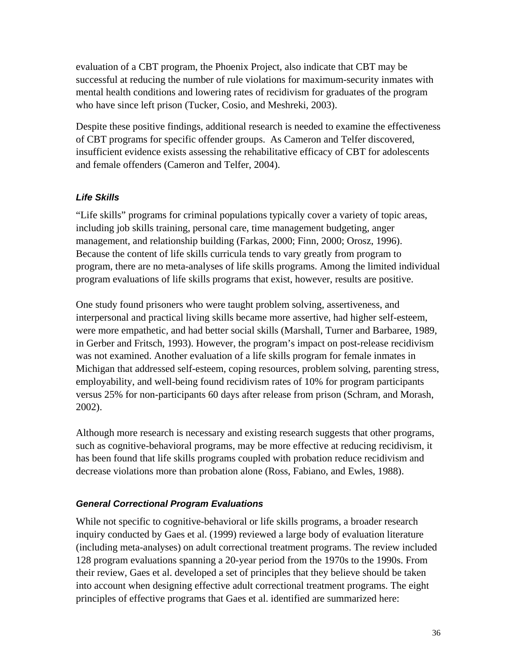<span id="page-39-0"></span>evaluation of a CBT program, the Phoenix Project, also indicate that CBT may be successful at reducing the number of rule violations for maximum-security inmates with mental health conditions and lowering rates of recidivism for graduates of the program who have since left prison (Tucker, Cosio, and Meshreki, 2003).

Despite these positive findings, additional research is needed to examine the effectiveness of CBT programs for specific offender groups. As Cameron and Telfer discovered, insufficient evidence exists assessing the rehabilitative efficacy of CBT for adolescents and female offenders (Cameron and Telfer, 2004).

# *Life Skills*

"Life skills" programs for criminal populations typically cover a variety of topic areas, including job skills training, personal care, time management budgeting, anger management, and relationship building (Farkas, 2000; Finn, 2000; Orosz, 1996). Because the content of life skills curricula tends to vary greatly from program to program, there are no meta-analyses of life skills programs. Among the limited individual program evaluations of life skills programs that exist, however, results are positive.

One study found prisoners who were taught problem solving, assertiveness, and interpersonal and practical living skills became more assertive, had higher self-esteem, were more empathetic, and had better social skills (Marshall, Turner and Barbaree, 1989, in Gerber and Fritsch, 1993). However, the program's impact on post-release recidivism was not examined. Another evaluation of a life skills program for female inmates in Michigan that addressed self-esteem, coping resources, problem solving, parenting stress, employability, and well-being found recidivism rates of 10% for program participants versus 25% for non-participants 60 days after release from prison (Schram, and Morash, 2002).

Although more research is necessary and existing research suggests that other programs, such as cognitive-behavioral programs, may be more effective at reducing recidivism, it has been found that life skills programs coupled with probation reduce recidivism and decrease violations more than probation alone (Ross, Fabiano, and Ewles, 1988).

# *General Correctional Program Evaluations*

While not specific to cognitive-behavioral or life skills programs, a broader research inquiry conducted by Gaes et al. (1999) reviewed a large body of evaluation literature (including meta-analyses) on adult correctional treatment programs. The review included 128 program evaluations spanning a 20-year period from the 1970s to the 1990s. From their review, Gaes et al. developed a set of principles that they believe should be taken into account when designing effective adult correctional treatment programs. The eight principles of effective programs that Gaes et al. identified are summarized here: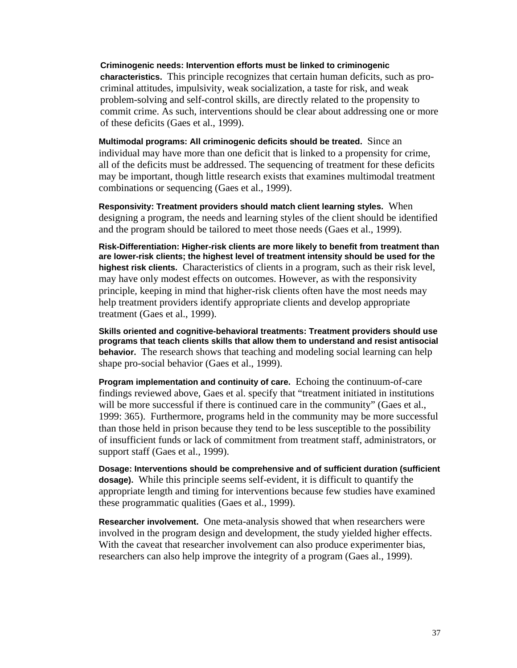**Criminogenic needs: Intervention efforts must be linked to criminogenic characteristics.** This principle recognizes that certain human deficits, such as procriminal attitudes, impulsivity, weak socialization, a taste for risk, and weak problem-solving and self-control skills, are directly related to the propensity to commit crime. As such, interventions should be clear about addressing one or more of these deficits (Gaes et al., 1999).

**Multimodal programs: All criminogenic deficits should be treated.** Since an individual may have more than one deficit that is linked to a propensity for crime, all of the deficits must be addressed. The sequencing of treatment for these deficits may be important, though little research exists that examines multimodal treatment combinations or sequencing (Gaes et al., 1999).

**Responsivity: Treatment providers should match client learning styles.** When designing a program, the needs and learning styles of the client should be identified and the program should be tailored to meet those needs (Gaes et al., 1999).

**Risk-Differentiation: Higher-risk clients are more likely to benefit from treatment than are lower-risk clients; the highest level of treatment intensity should be used for the highest risk clients.** Characteristics of clients in a program, such as their risk level, may have only modest effects on outcomes. However, as with the responsivity principle, keeping in mind that higher-risk clients often have the most needs may help treatment providers identify appropriate clients and develop appropriate treatment (Gaes et al., 1999).

**Skills oriented and cognitive-behavioral treatments: Treatment providers should use programs that teach clients skills that allow them to understand and resist antisocial behavior.** The research shows that teaching and modeling social learning can help shape pro-social behavior (Gaes et al., 1999).

**Program implementation and continuity of care.** Echoing the continuum-of-care findings reviewed above, Gaes et al. specify that "treatment initiated in institutions will be more successful if there is continued care in the community" (Gaes et al., 1999: 365). Furthermore, programs held in the community may be more successful than those held in prison because they tend to be less susceptible to the possibility of insufficient funds or lack of commitment from treatment staff, administrators, or support staff (Gaes et al., 1999).

**Dosage: Interventions should be comprehensive and of sufficient duration (sufficient dosage).** While this principle seems self-evident, it is difficult to quantify the appropriate length and timing for interventions because few studies have examined these programmatic qualities (Gaes et al., 1999).

**Researcher involvement.** One meta-analysis showed that when researchers were involved in the program design and development, the study yielded higher effects. With the caveat that researcher involvement can also produce experimenter bias, researchers can also help improve the integrity of a program (Gaes al., 1999).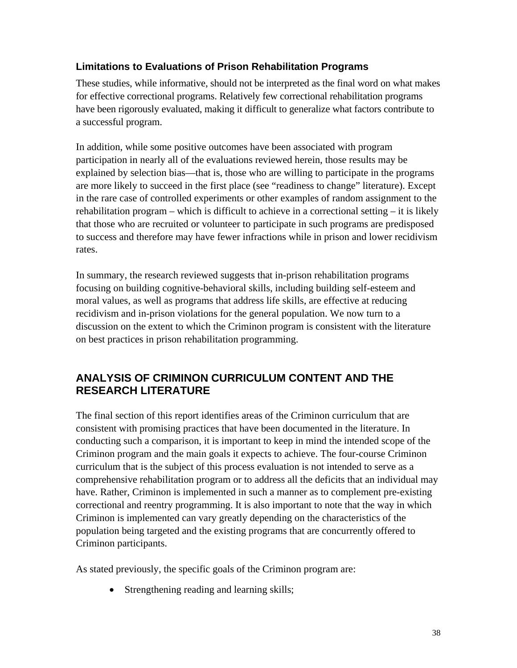# <span id="page-41-0"></span>**Limitations to Evaluations of Prison Rehabilitation Programs**

These studies, while informative, should not be interpreted as the final word on what makes for effective correctional programs. Relatively few correctional rehabilitation programs have been rigorously evaluated, making it difficult to generalize what factors contribute to a successful program.

In addition, while some positive outcomes have been associated with program participation in nearly all of the evaluations reviewed herein, those results may be explained by selection bias—that is, those who are willing to participate in the programs are more likely to succeed in the first place (see "readiness to change" literature). Except in the rare case of controlled experiments or other examples of random assignment to the rehabilitation program – which is difficult to achieve in a correctional setting – it is likely that those who are recruited or volunteer to participate in such programs are predisposed to success and therefore may have fewer infractions while in prison and lower recidivism rates.

In summary, the research reviewed suggests that in-prison rehabilitation programs focusing on building cognitive-behavioral skills, including building self-esteem and moral values, as well as programs that address life skills, are effective at reducing recidivism and in-prison violations for the general population. We now turn to a discussion on the extent to which the Criminon program is consistent with the literature on best practices in prison rehabilitation programming.

# **ANALYSIS OF CRIMINON CURRICULUM CONTENT AND THE RESEARCH LITERATURE**

The final section of this report identifies areas of the Criminon curriculum that are consistent with promising practices that have been documented in the literature. In conducting such a comparison, it is important to keep in mind the intended scope of the Criminon program and the main goals it expects to achieve. The four-course Criminon curriculum that is the subject of this process evaluation is not intended to serve as a comprehensive rehabilitation program or to address all the deficits that an individual may have. Rather, Criminon is implemented in such a manner as to complement pre-existing correctional and reentry programming. It is also important to note that the way in which Criminon is implemented can vary greatly depending on the characteristics of the population being targeted and the existing programs that are concurrently offered to Criminon participants.

As stated previously, the specific goals of the Criminon program are:

• Strengthening reading and learning skills;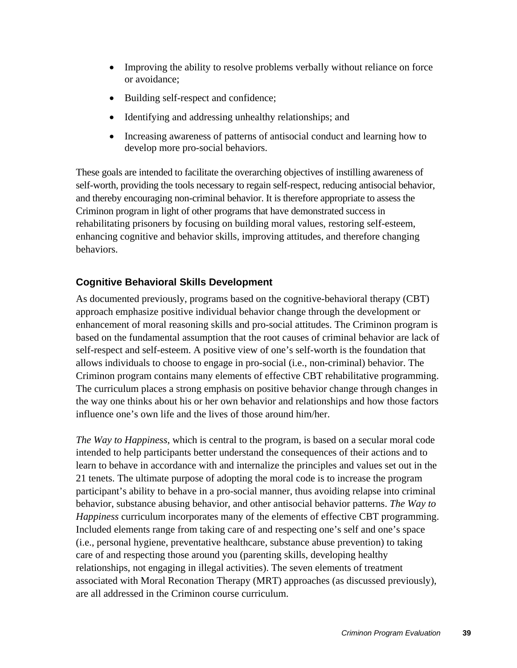- <span id="page-42-0"></span>• Improving the ability to resolve problems verbally without reliance on force or avoidance;
- Building self-respect and confidence;
- Identifying and addressing unhealthy relationships; and
- Increasing awareness of patterns of antisocial conduct and learning how to develop more pro-social behaviors.

These goals are intended to facilitate the overarching objectives of instilling awareness of self-worth, providing the tools necessary to regain self-respect, reducing antisocial behavior, and thereby encouraging non-criminal behavior. It is therefore appropriate to assess the Criminon program in light of other programs that have demonstrated success in rehabilitating prisoners by focusing on building moral values, restoring self-esteem, enhancing cognitive and behavior skills, improving attitudes, and therefore changing behaviors.

# **Cognitive Behavioral Skills Development**

As documented previously, programs based on the cognitive-behavioral therapy (CBT) approach emphasize positive individual behavior change through the development or enhancement of moral reasoning skills and pro-social attitudes. The Criminon program is based on the fundamental assumption that the root causes of criminal behavior are lack of self-respect and self-esteem. A positive view of one's self-worth is the foundation that allows individuals to choose to engage in pro-social (i.e., non-criminal) behavior. The Criminon program contains many elements of effective CBT rehabilitative programming. The curriculum places a strong emphasis on positive behavior change through changes in the way one thinks about his or her own behavior and relationships and how those factors influence one's own life and the lives of those around him/her.

*The Way to Happiness*, which is central to the program, is based on a secular moral code intended to help participants better understand the consequences of their actions and to learn to behave in accordance with and internalize the principles and values set out in the 21 tenets. The ultimate purpose of adopting the moral code is to increase the program participant's ability to behave in a pro-social manner, thus avoiding relapse into criminal behavior, substance abusing behavior, and other antisocial behavior patterns. *The Way to Happiness* curriculum incorporates many of the elements of effective CBT programming. Included elements range from taking care of and respecting one's self and one's space (i.e., personal hygiene, preventative healthcare, substance abuse prevention) to taking care of and respecting those around you (parenting skills, developing healthy relationships, not engaging in illegal activities). The seven elements of treatment associated with Moral Reconation Therapy (MRT) approaches (as discussed previously), are all addressed in the Criminon course curriculum.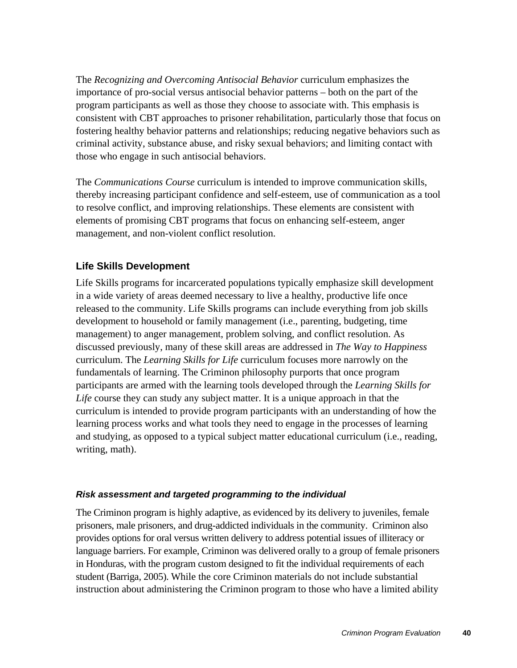<span id="page-43-0"></span>The *Recognizing and Overcoming Antisocial Behavior* curriculum emphasizes the importance of pro-social versus antisocial behavior patterns – both on the part of the program participants as well as those they choose to associate with. This emphasis is consistent with CBT approaches to prisoner rehabilitation, particularly those that focus on fostering healthy behavior patterns and relationships; reducing negative behaviors such as criminal activity, substance abuse, and risky sexual behaviors; and limiting contact with those who engage in such antisocial behaviors.

The *Communications Course* curriculum is intended to improve communication skills, thereby increasing participant confidence and self-esteem, use of communication as a tool to resolve conflict, and improving relationships. These elements are consistent with elements of promising CBT programs that focus on enhancing self-esteem, anger management, and non-violent conflict resolution.

# **Life Skills Development**

Life Skills programs for incarcerated populations typically emphasize skill development in a wide variety of areas deemed necessary to live a healthy, productive life once released to the community. Life Skills programs can include everything from job skills development to household or family management (i.e., parenting, budgeting, time management) to anger management, problem solving, and conflict resolution. As discussed previously, many of these skill areas are addressed in *The Way to Happiness* curriculum. The *Learning Skills for Life* curriculum focuses more narrowly on the fundamentals of learning. The Criminon philosophy purports that once program participants are armed with the learning tools developed through the *Learning Skills for Life* course they can study any subject matter. It is a unique approach in that the curriculum is intended to provide program participants with an understanding of how the learning process works and what tools they need to engage in the processes of learning and studying, as opposed to a typical subject matter educational curriculum (i.e., reading, writing, math).

# *Risk assessment and targeted programming to the individual*

The Criminon program is highly adaptive, as evidenced by its delivery to juveniles, female prisoners, male prisoners, and drug-addicted individuals in the community. Criminon also provides options for oral versus written delivery to address potential issues of illiteracy or language barriers. For example, Criminon was delivered orally to a group of female prisoners in Honduras, with the program custom designed to fit the individual requirements of each student (Barriga, 2005). While the core Criminon materials do not include substantial instruction about administering the Criminon program to those who have a limited ability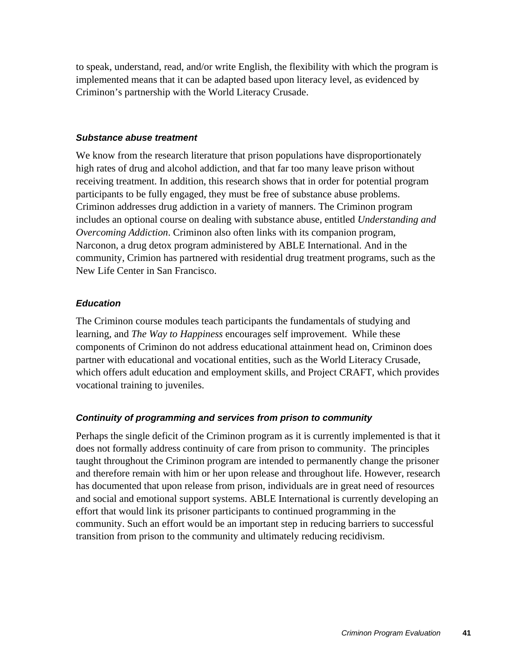<span id="page-44-0"></span>to speak, understand, read, and/or write English, the flexibility with which the program is implemented means that it can be adapted based upon literacy level, as evidenced by Criminon's partnership with the World Literacy Crusade.

#### *Substance abuse treatment*

We know from the research literature that prison populations have disproportionately high rates of drug and alcohol addiction, and that far too many leave prison without receiving treatment. In addition, this research shows that in order for potential program participants to be fully engaged, they must be free of substance abuse problems. Criminon addresses drug addiction in a variety of manners. The Criminon program includes an optional course on dealing with substance abuse, entitled *Understanding and Overcoming Addiction*. Criminon also often links with its companion program, Narconon, a drug detox program administered by ABLE International. And in the community, Crimion has partnered with residential drug treatment programs, such as the New Life Center in San Francisco.

#### *Education*

The Criminon course modules teach participants the fundamentals of studying and learning, and *The Way to Happiness* encourages self improvement. While these components of Criminon do not address educational attainment head on, Criminon does partner with educational and vocational entities, such as the World Literacy Crusade, which offers adult education and employment skills, and Project CRAFT, which provides vocational training to juveniles.

#### *Continuity of programming and services from prison to community*

Perhaps the single deficit of the Criminon program as it is currently implemented is that it does not formally address continuity of care from prison to community. The principles taught throughout the Criminon program are intended to permanently change the prisoner and therefore remain with him or her upon release and throughout life. However, research has documented that upon release from prison, individuals are in great need of resources and social and emotional support systems. ABLE International is currently developing an effort that would link its prisoner participants to continued programming in the community. Such an effort would be an important step in reducing barriers to successful transition from prison to the community and ultimately reducing recidivism.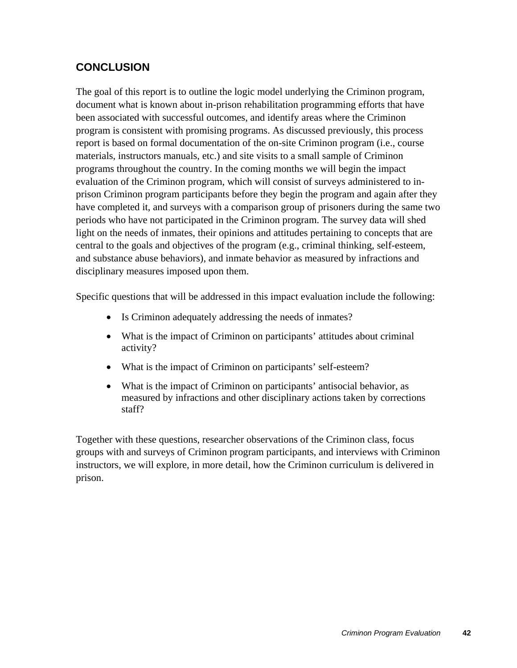# <span id="page-45-0"></span>**CONCLUSION**

The goal of this report is to outline the logic model underlying the Criminon program, document what is known about in-prison rehabilitation programming efforts that have been associated with successful outcomes, and identify areas where the Criminon program is consistent with promising programs. As discussed previously, this process report is based on formal documentation of the on-site Criminon program (i.e., course materials, instructors manuals, etc.) and site visits to a small sample of Criminon programs throughout the country. In the coming months we will begin the impact evaluation of the Criminon program, which will consist of surveys administered to inprison Criminon program participants before they begin the program and again after they have completed it, and surveys with a comparison group of prisoners during the same two periods who have not participated in the Criminon program. The survey data will shed light on the needs of inmates, their opinions and attitudes pertaining to concepts that are central to the goals and objectives of the program (e.g., criminal thinking, self-esteem, and substance abuse behaviors), and inmate behavior as measured by infractions and disciplinary measures imposed upon them.

Specific questions that will be addressed in this impact evaluation include the following:

- Is Criminon adequately addressing the needs of inmates?
- What is the impact of Criminon on participants' attitudes about criminal activity?
- What is the impact of Criminon on participants' self-esteem?
- What is the impact of Criminon on participants' antisocial behavior, as measured by infractions and other disciplinary actions taken by corrections staff?

Together with these questions, researcher observations of the Criminon class, focus groups with and surveys of Criminon program participants, and interviews with Criminon instructors, we will explore, in more detail, how the Criminon curriculum is delivered in prison.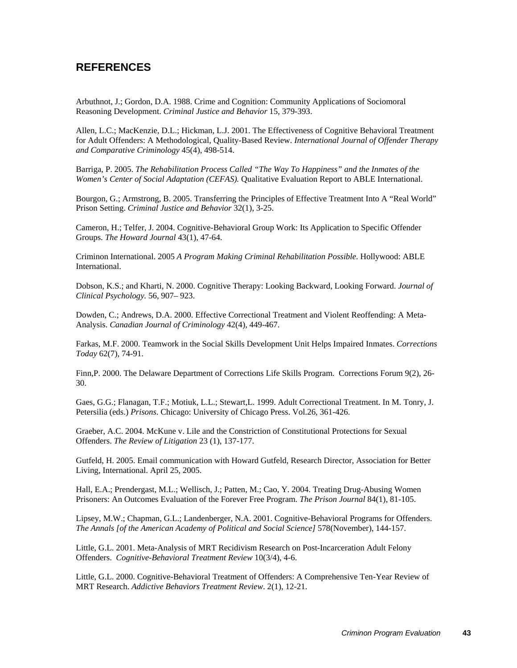# <span id="page-46-0"></span>**REFERENCES**

Arbuthnot, J.; Gordon, D.A. 1988. Crime and Cognition: Community Applications of Sociomoral Reasoning Development. *Criminal Justice and Behavior* 15, 379-393.

Allen, L.C.; MacKenzie, D.L.; Hickman, L.J. 2001. The Effectiveness of Cognitive Behavioral Treatment for Adult Offenders: A Methodological, Quality-Based Review. *International Journal of Offender Therapy and Comparative Criminology* 45(4), 498-514.

Barriga, P. 2005. *The Rehabilitation Process Called "The Way To Happiness" and the Inmates of the Women's Center of Social Adaptation (CEFAS).* Qualitative Evaluation Report to ABLE International.

Bourgon, G.; Armstrong, B. 2005. Transferring the Principles of Effective Treatment Into A "Real World" Prison Setting. *Criminal Justice and Behavior* 32(1), 3-25.

Cameron, H.; Telfer, J. 2004. Cognitive-Behavioral Group Work: Its Application to Specific Offender Groups. *The Howard Journal* 43(1), 47-64.

Criminon International. 2005 *A Program Making Criminal Rehabilitation Possible*. Hollywood: ABLE International.

Dobson, K.S.; and Kharti, N. 2000. Cognitive Therapy: Looking Backward, Looking Forward. *Journal of Clinical Psychology.* 56, 907– 923.

Dowden, C.; Andrews, D.A. 2000. Effective Correctional Treatment and Violent Reoffending: A Meta-Analysis. *Canadian Journal of Criminology* 42(4), 449-467.

Farkas, M.F. 2000. Teamwork in the Social Skills Development Unit Helps Impaired Inmates. *Corrections Today* 62(7), 74-91.

Finn,P. 2000. The Delaware Department of Corrections Life Skills Program. Corrections Forum 9(2), 26- 30.

Gaes, G.G.; Flanagan, T.F.; Motiuk, L.L.; Stewart,L. 1999. Adult Correctional Treatment. In M. Tonry, J. Petersilia (eds.) *Prisons*. Chicago: University of Chicago Press. Vol.26, 361-426.

Graeber, A.C. 2004. McKune v. Lile and the Constriction of Constitutional Protections for Sexual Offenders. *The Review of Litigation* 23 (1), 137-177.

Gutfeld, H. 2005. Email communication with Howard Gutfeld, Research Director, Association for Better Living, International. April 25, 2005.

Hall, E.A.; Prendergast, M.L.; Wellisch, J.; Patten, M.; Cao, Y. 2004. Treating Drug-Abusing Women Prisoners: An Outcomes Evaluation of the Forever Free Program. *The Prison Journal* 84(1), 81-105.

Lipsey, M.W.; Chapman, G.L.; Landenberger, N.A. 2001. Cognitive-Behavioral Programs for Offenders. *The Annals [of the American Academy of Political and Social Science]* 578(November), 144-157.

Little, G.L. 2001. Meta-Analysis of MRT Recidivism Research on Post-Incarceration Adult Felony Offenders. *Cognitive-Behavioral Treatment Review* 10(3/4), 4-6.

Little, G.L. 2000. Cognitive-Behavioral Treatment of Offenders: A Comprehensive Ten-Year Review of MRT Research. *Addictive Behaviors Treatment Review*. 2(1), 12-21.